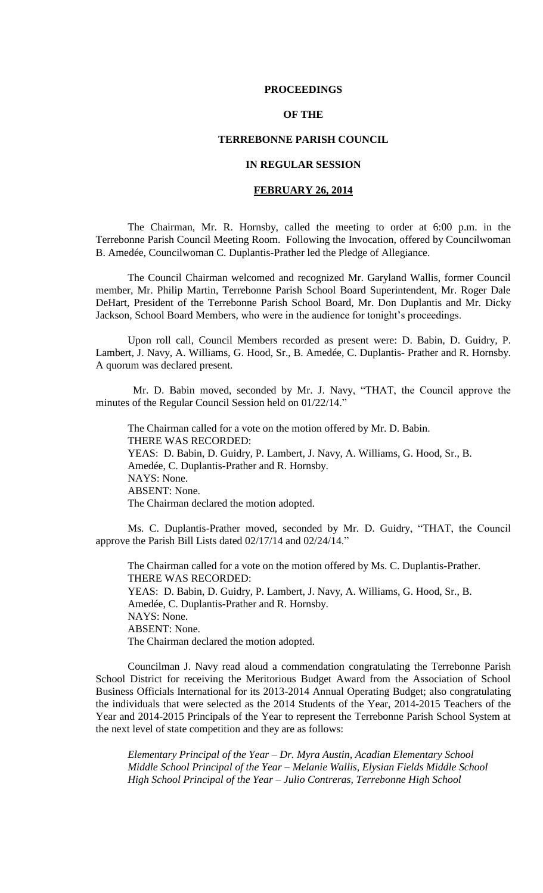### **PROCEEDINGS**

# **OF THE**

## **TERREBONNE PARISH COUNCIL**

# **IN REGULAR SESSION**

# **FEBRUARY 26, 2014**

The Chairman, Mr. R. Hornsby, called the meeting to order at 6:00 p.m. in the Terrebonne Parish Council Meeting Room. Following the Invocation, offered by Councilwoman B. Amedée, Councilwoman C. Duplantis-Prather led the Pledge of Allegiance.

The Council Chairman welcomed and recognized Mr. Garyland Wallis, former Council member, Mr. Philip Martin, Terrebonne Parish School Board Superintendent, Mr. Roger Dale DeHart, President of the Terrebonne Parish School Board, Mr. Don Duplantis and Mr. Dicky Jackson, School Board Members, who were in the audience for tonight's proceedings.

Upon roll call, Council Members recorded as present were: D. Babin, D. Guidry, P. Lambert, J. Navy, A. Williams, G. Hood, Sr., B. Amedée, C. Duplantis- Prather and R. Hornsby. A quorum was declared present.

 Mr. D. Babin moved, seconded by Mr. J. Navy, "THAT, the Council approve the minutes of the Regular Council Session held on 01/22/14."

The Chairman called for a vote on the motion offered by Mr. D. Babin. THERE WAS RECORDED: YEAS: D. Babin, D. Guidry, P. Lambert, J. Navy, A. Williams, G. Hood, Sr., B. Amedée, C. Duplantis-Prather and R. Hornsby. NAYS: None. ABSENT: None. The Chairman declared the motion adopted.

Ms. C. Duplantis-Prather moved, seconded by Mr. D. Guidry, "THAT, the Council approve the Parish Bill Lists dated 02/17/14 and 02/24/14."

The Chairman called for a vote on the motion offered by Ms. C. Duplantis-Prather. THERE WAS RECORDED: YEAS: D. Babin, D. Guidry, P. Lambert, J. Navy, A. Williams, G. Hood, Sr., B. Amedée, C. Duplantis-Prather and R. Hornsby. NAYS: None. ABSENT: None. The Chairman declared the motion adopted.

Councilman J. Navy read aloud a commendation congratulating the Terrebonne Parish School District for receiving the Meritorious Budget Award from the Association of School Business Officials International for its 2013-2014 Annual Operating Budget; also congratulating the individuals that were selected as the 2014 Students of the Year, 2014-2015 Teachers of the Year and 2014-2015 Principals of the Year to represent the Terrebonne Parish School System at the next level of state competition and they are as follows:

*Elementary Principal of the Year – Dr. Myra Austin, Acadian Elementary School Middle School Principal of the Year – Melanie Wallis, Elysian Fields Middle School High School Principal of the Year – Julio Contreras, Terrebonne High School*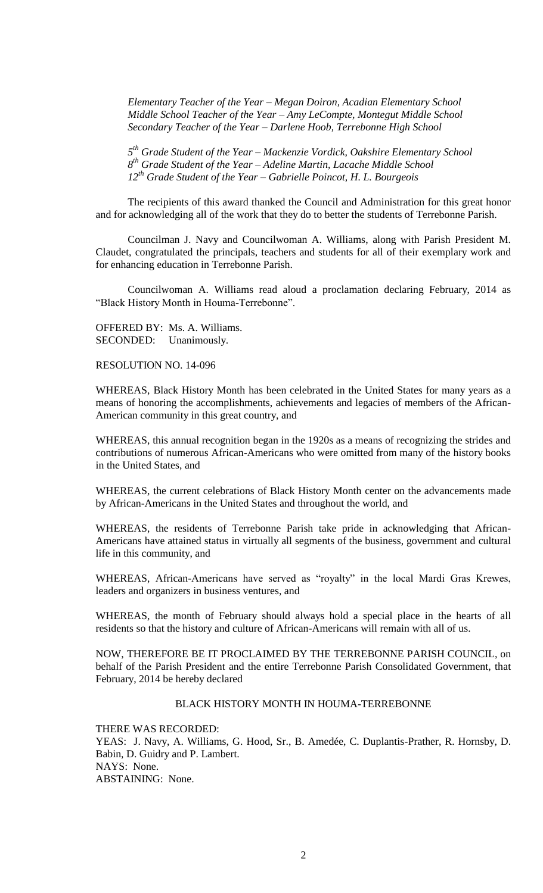*Elementary Teacher of the Year – Megan Doiron, Acadian Elementary School Middle School Teacher of the Year – Amy LeCompte, Montegut Middle School Secondary Teacher of the Year – Darlene Hoob, Terrebonne High School*

*5 th Grade Student of the Year – Mackenzie Vordick, Oakshire Elementary School 8 th Grade Student of the Year – Adeline Martin, Lacache Middle School 12th Grade Student of the Year – Gabrielle Poincot, H. L. Bourgeois*

The recipients of this award thanked the Council and Administration for this great honor and for acknowledging all of the work that they do to better the students of Terrebonne Parish.

Councilman J. Navy and Councilwoman A. Williams, along with Parish President M. Claudet, congratulated the principals, teachers and students for all of their exemplary work and for enhancing education in Terrebonne Parish.

Councilwoman A. Williams read aloud a proclamation declaring February, 2014 as "Black History Month in Houma-Terrebonne".

OFFERED BY: Ms. A. Williams. SECONDED: Unanimously.

RESOLUTION NO. 14-096

WHEREAS, Black History Month has been celebrated in the United States for many years as a means of honoring the accomplishments, achievements and legacies of members of the African-American community in this great country, and

WHEREAS, this annual recognition began in the 1920s as a means of recognizing the strides and contributions of numerous African-Americans who were omitted from many of the history books in the United States, and

WHEREAS, the current celebrations of Black History Month center on the advancements made by African-Americans in the United States and throughout the world, and

WHEREAS, the residents of Terrebonne Parish take pride in acknowledging that African-Americans have attained status in virtually all segments of the business, government and cultural life in this community, and

WHEREAS, African-Americans have served as "royalty" in the local Mardi Gras Krewes, leaders and organizers in business ventures, and

WHEREAS, the month of February should always hold a special place in the hearts of all residents so that the history and culture of African-Americans will remain with all of us.

NOW, THEREFORE BE IT PROCLAIMED BY THE TERREBONNE PARISH COUNCIL, on behalf of the Parish President and the entire Terrebonne Parish Consolidated Government, that February, 2014 be hereby declared

# BLACK HISTORY MONTH IN HOUMA-TERREBONNE

THERE WAS RECORDED: YEAS: J. Navy, A. Williams, G. Hood, Sr., B. Amedée, C. Duplantis-Prather, R. Hornsby, D. Babin, D. Guidry and P. Lambert. NAYS: None. ABSTAINING: None.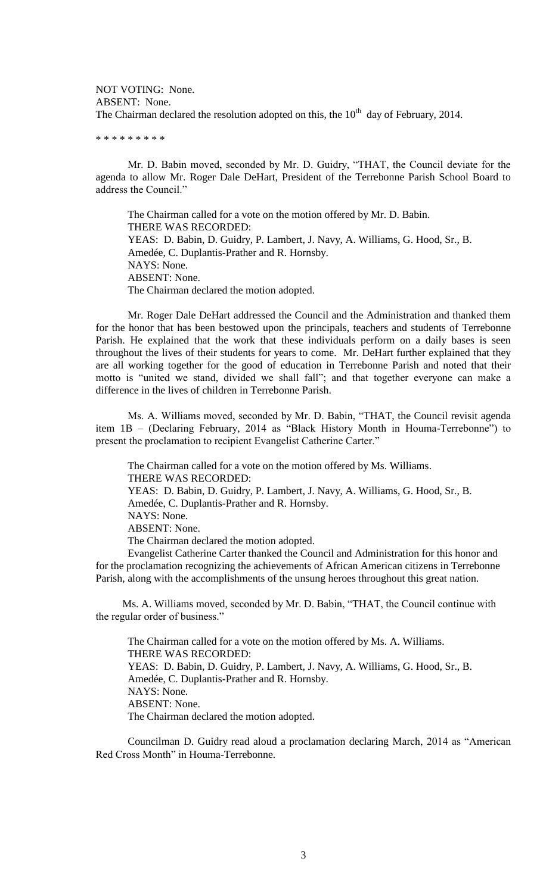NOT VOTING: None. ABSENT: None. The Chairman declared the resolution adopted on this, the  $10<sup>th</sup>$  day of February, 2014.

\* \* \* \* \* \* \* \*

Mr. D. Babin moved, seconded by Mr. D. Guidry, "THAT, the Council deviate for the agenda to allow Mr. Roger Dale DeHart, President of the Terrebonne Parish School Board to address the Council."

The Chairman called for a vote on the motion offered by Mr. D. Babin. THERE WAS RECORDED: YEAS: D. Babin, D. Guidry, P. Lambert, J. Navy, A. Williams, G. Hood, Sr., B. Amedée, C. Duplantis-Prather and R. Hornsby. NAYS: None. ABSENT: None. The Chairman declared the motion adopted.

Mr. Roger Dale DeHart addressed the Council and the Administration and thanked them for the honor that has been bestowed upon the principals, teachers and students of Terrebonne Parish. He explained that the work that these individuals perform on a daily bases is seen throughout the lives of their students for years to come. Mr. DeHart further explained that they are all working together for the good of education in Terrebonne Parish and noted that their motto is "united we stand, divided we shall fall"; and that together everyone can make a difference in the lives of children in Terrebonne Parish.

Ms. A. Williams moved, seconded by Mr. D. Babin, "THAT, the Council revisit agenda item 1B – (Declaring February, 2014 as "Black History Month in Houma-Terrebonne") to present the proclamation to recipient Evangelist Catherine Carter."

The Chairman called for a vote on the motion offered by Ms. Williams. THERE WAS RECORDED: YEAS: D. Babin, D. Guidry, P. Lambert, J. Navy, A. Williams, G. Hood, Sr., B. Amedée, C. Duplantis-Prather and R. Hornsby. NAYS: None. ABSENT: None. The Chairman declared the motion adopted. Evangelist Catherine Carter thanked the Council and Administration for this honor and

for the proclamation recognizing the achievements of African American citizens in Terrebonne Parish, along with the accomplishments of the unsung heroes throughout this great nation.

 Ms. A. Williams moved, seconded by Mr. D. Babin, "THAT, the Council continue with the regular order of business."

The Chairman called for a vote on the motion offered by Ms. A. Williams. THERE WAS RECORDED: YEAS: D. Babin, D. Guidry, P. Lambert, J. Navy, A. Williams, G. Hood, Sr., B. Amedée, C. Duplantis-Prather and R. Hornsby. NAYS: None. ABSENT: None. The Chairman declared the motion adopted.

Councilman D. Guidry read aloud a proclamation declaring March, 2014 as "American Red Cross Month" in Houma-Terrebonne.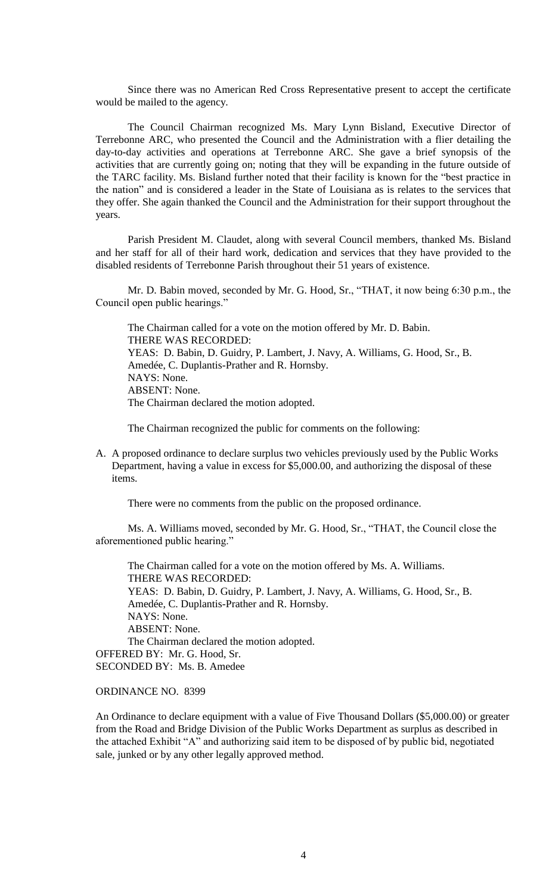Since there was no American Red Cross Representative present to accept the certificate would be mailed to the agency.

The Council Chairman recognized Ms. Mary Lynn Bisland, Executive Director of Terrebonne ARC, who presented the Council and the Administration with a flier detailing the day-to-day activities and operations at Terrebonne ARC. She gave a brief synopsis of the activities that are currently going on; noting that they will be expanding in the future outside of the TARC facility. Ms. Bisland further noted that their facility is known for the "best practice in the nation" and is considered a leader in the State of Louisiana as is relates to the services that they offer. She again thanked the Council and the Administration for their support throughout the years.

Parish President M. Claudet, along with several Council members, thanked Ms. Bisland and her staff for all of their hard work, dedication and services that they have provided to the disabled residents of Terrebonne Parish throughout their 51 years of existence.

Mr. D. Babin moved, seconded by Mr. G. Hood, Sr., "THAT, it now being 6:30 p.m., the Council open public hearings."

The Chairman called for a vote on the motion offered by Mr. D. Babin. THERE WAS RECORDED: YEAS: D. Babin, D. Guidry, P. Lambert, J. Navy, A. Williams, G. Hood, Sr., B. Amedée, C. Duplantis-Prather and R. Hornsby. NAYS: None. ABSENT: None. The Chairman declared the motion adopted.

The Chairman recognized the public for comments on the following:

A. A proposed ordinance to declare surplus two vehicles previously used by the Public Works Department, having a value in excess for \$5,000.00, and authorizing the disposal of these items.

There were no comments from the public on the proposed ordinance.

Ms. A. Williams moved, seconded by Mr. G. Hood, Sr., "THAT, the Council close the aforementioned public hearing."

The Chairman called for a vote on the motion offered by Ms. A. Williams. THERE WAS RECORDED: YEAS: D. Babin, D. Guidry, P. Lambert, J. Navy, A. Williams, G. Hood, Sr., B. Amedée, C. Duplantis-Prather and R. Hornsby. NAYS: None. ABSENT: None. The Chairman declared the motion adopted. OFFERED BY: Mr. G. Hood, Sr. SECONDED BY: Ms. B. Amedee

# ORDINANCE NO. 8399

An Ordinance to declare equipment with a value of Five Thousand Dollars (\$5,000.00) or greater from the Road and Bridge Division of the Public Works Department as surplus as described in the attached Exhibit "A" and authorizing said item to be disposed of by public bid, negotiated sale, junked or by any other legally approved method.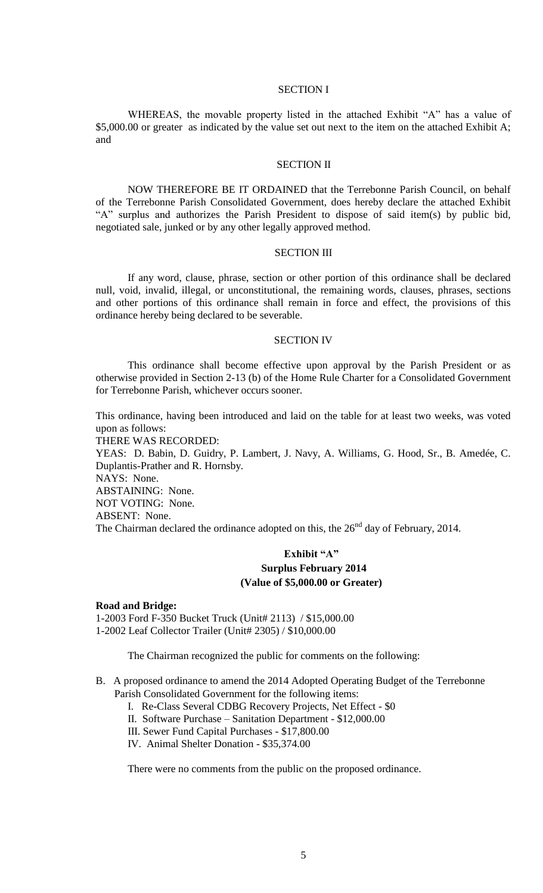### SECTION I

WHEREAS, the movable property listed in the attached Exhibit "A" has a value of \$5,000.00 or greater as indicated by the value set out next to the item on the attached Exhibit A; and

### SECTION II

NOW THEREFORE BE IT ORDAINED that the Terrebonne Parish Council, on behalf of the Terrebonne Parish Consolidated Government, does hereby declare the attached Exhibit "A" surplus and authorizes the Parish President to dispose of said item(s) by public bid, negotiated sale, junked or by any other legally approved method.

#### SECTION III

If any word, clause, phrase, section or other portion of this ordinance shall be declared null, void, invalid, illegal, or unconstitutional, the remaining words, clauses, phrases, sections and other portions of this ordinance shall remain in force and effect, the provisions of this ordinance hereby being declared to be severable.

#### SECTION IV

This ordinance shall become effective upon approval by the Parish President or as otherwise provided in Section 2-13 (b) of the Home Rule Charter for a Consolidated Government for Terrebonne Parish, whichever occurs sooner.

This ordinance, having been introduced and laid on the table for at least two weeks, was voted upon as follows:

THERE WAS RECORDED:

YEAS: D. Babin, D. Guidry, P. Lambert, J. Navy, A. Williams, G. Hood, Sr., B. Amedée, C. Duplantis-Prather and R. Hornsby.

NAYS: None.

ABSTAINING: None.

NOT VOTING: None.

ABSENT: None.

The Chairman declared the ordinance adopted on this, the  $26<sup>nd</sup>$  day of February, 2014.

# **Exhibit "A" Surplus February 2014 (Value of \$5,000.00 or Greater)**

### **Road and Bridge:**

1-2003 Ford F-350 Bucket Truck (Unit# 2113) / \$15,000.00 1-2002 Leaf Collector Trailer (Unit# 2305) / \$10,000.00

The Chairman recognized the public for comments on the following:

- B. A proposed ordinance to amend the 2014 Adopted Operating Budget of the Terrebonne Parish Consolidated Government for the following items:
	- I. Re-Class Several CDBG Recovery Projects, Net Effect \$0
	- II. Software Purchase Sanitation Department \$12,000.00
	- III. Sewer Fund Capital Purchases \$17,800.00
	- IV. Animal Shelter Donation \$35,374.00

There were no comments from the public on the proposed ordinance.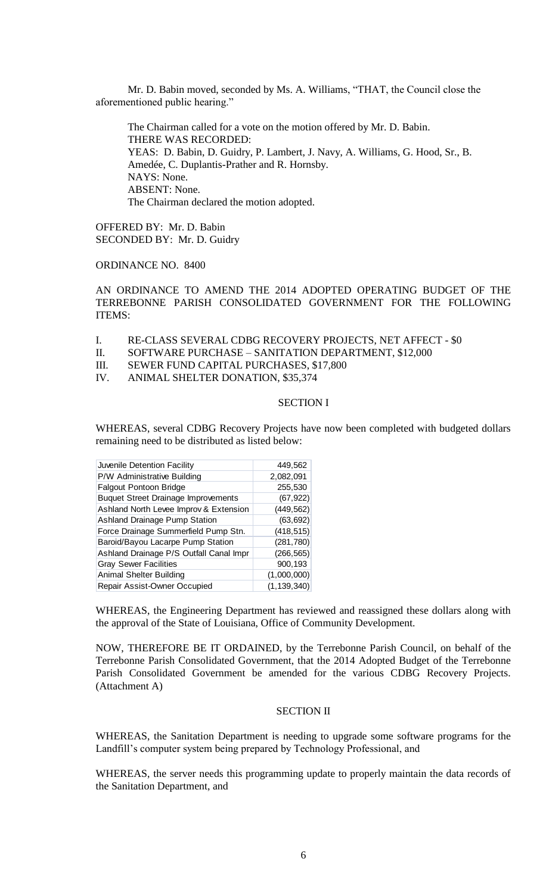Mr. D. Babin moved, seconded by Ms. A. Williams, "THAT, the Council close the aforementioned public hearing."

The Chairman called for a vote on the motion offered by Mr. D. Babin. THERE WAS RECORDED: YEAS: D. Babin, D. Guidry, P. Lambert, J. Navy, A. Williams, G. Hood, Sr., B. Amedée, C. Duplantis-Prather and R. Hornsby. NAYS: None. ABSENT: None. The Chairman declared the motion adopted.

OFFERED BY: Mr. D. Babin SECONDED BY: Mr. D. Guidry

ORDINANCE NO. 8400

AN ORDINANCE TO AMEND THE 2014 ADOPTED OPERATING BUDGET OF THE TERREBONNE PARISH CONSOLIDATED GOVERNMENT FOR THE FOLLOWING ITEMS:

- I. RE-CLASS SEVERAL CDBG RECOVERY PROJECTS, NET AFFECT \$0
- II. SOFTWARE PURCHASE SANITATION DEPARTMENT, \$12,000
- III. SEWER FUND CAPITAL PURCHASES, \$17,800
- IV. ANIMAL SHELTER DONATION, \$35,374

## SECTION I

WHEREAS, several CDBG Recovery Projects have now been completed with budgeted dollars remaining need to be distributed as listed below:

| Juvenile Detention Facility                | 449,562       |
|--------------------------------------------|---------------|
| P/W Administrative Building                | 2,082,091     |
| <b>Falgout Pontoon Bridge</b>              | 255,530       |
| <b>Buquet Street Drainage Improvements</b> | (67, 922)     |
| Ashland North Levee Improv & Extension     | (449, 562)    |
| <b>Ashland Drainage Pump Station</b>       | (63, 692)     |
| Force Drainage Summerfield Pump Stn.       | (418, 515)    |
| Baroid/Bayou Lacarpe Pump Station          | (281, 780)    |
| Ashland Drainage P/S Outfall Canal Impr    | (266, 565)    |
| <b>Gray Sewer Facilities</b>               | 900,193       |
| Animal Shelter Building                    | (1,000,000)   |
| Repair Assist-Owner Occupied               | (1, 139, 340) |

WHEREAS, the Engineering Department has reviewed and reassigned these dollars along with the approval of the State of Louisiana, Office of Community Development.

NOW, THEREFORE BE IT ORDAINED, by the Terrebonne Parish Council, on behalf of the Terrebonne Parish Consolidated Government, that the 2014 Adopted Budget of the Terrebonne Parish Consolidated Government be amended for the various CDBG Recovery Projects. (Attachment A)

## SECTION II

WHEREAS, the Sanitation Department is needing to upgrade some software programs for the Landfill's computer system being prepared by Technology Professional, and

WHEREAS, the server needs this programming update to properly maintain the data records of the Sanitation Department, and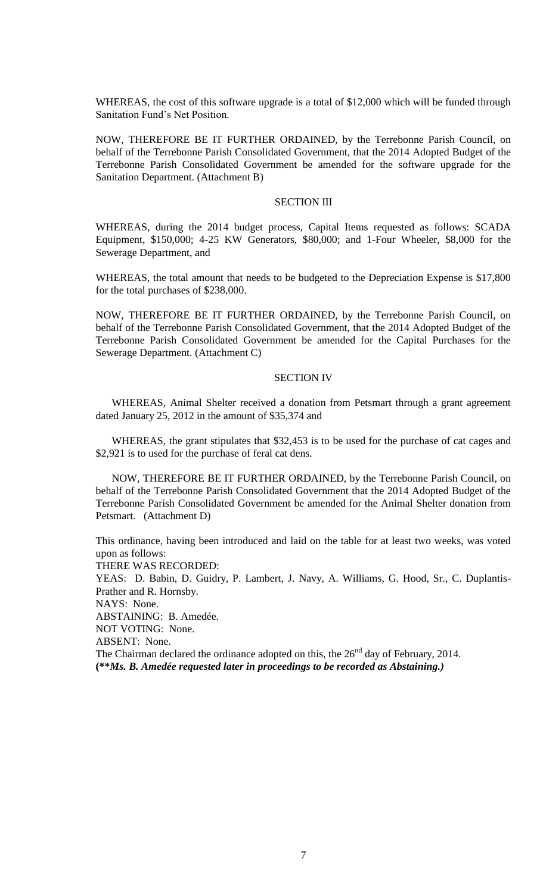WHEREAS, the cost of this software upgrade is a total of \$12,000 which will be funded through Sanitation Fund's Net Position.

NOW, THEREFORE BE IT FURTHER ORDAINED, by the Terrebonne Parish Council, on behalf of the Terrebonne Parish Consolidated Government, that the 2014 Adopted Budget of the Terrebonne Parish Consolidated Government be amended for the software upgrade for the Sanitation Department. (Attachment B)

## SECTION III

WHEREAS, during the 2014 budget process, Capital Items requested as follows: SCADA Equipment, \$150,000; 4-25 KW Generators, \$80,000; and 1-Four Wheeler, \$8,000 for the Sewerage Department, and

WHEREAS, the total amount that needs to be budgeted to the Depreciation Expense is \$17,800 for the total purchases of \$238,000.

NOW, THEREFORE BE IT FURTHER ORDAINED, by the Terrebonne Parish Council, on behalf of the Terrebonne Parish Consolidated Government, that the 2014 Adopted Budget of the Terrebonne Parish Consolidated Government be amended for the Capital Purchases for the Sewerage Department. (Attachment C)

#### SECTION IV

WHEREAS, Animal Shelter received a donation from Petsmart through a grant agreement dated January 25, 2012 in the amount of \$35,374 and

WHEREAS, the grant stipulates that \$32,453 is to be used for the purchase of cat cages and \$2,921 is to used for the purchase of feral cat dens.

NOW, THEREFORE BE IT FURTHER ORDAINED, by the Terrebonne Parish Council, on behalf of the Terrebonne Parish Consolidated Government that the 2014 Adopted Budget of the Terrebonne Parish Consolidated Government be amended for the Animal Shelter donation from Petsmart. (Attachment D)

This ordinance, having been introduced and laid on the table for at least two weeks, was voted upon as follows:

THERE WAS RECORDED:

YEAS: D. Babin, D. Guidry, P. Lambert, J. Navy, A. Williams, G. Hood, Sr., C. Duplantis-Prather and R. Hornsby.

NAYS: None.

ABSTAINING: B. Amedée.

NOT VOTING: None.

ABSENT: None.

The Chairman declared the ordinance adopted on this, the  $26<sup>nd</sup>$  day of February, 2014. **(\*\****Ms. B. Amedée requested later in proceedings to be recorded as Abstaining.)*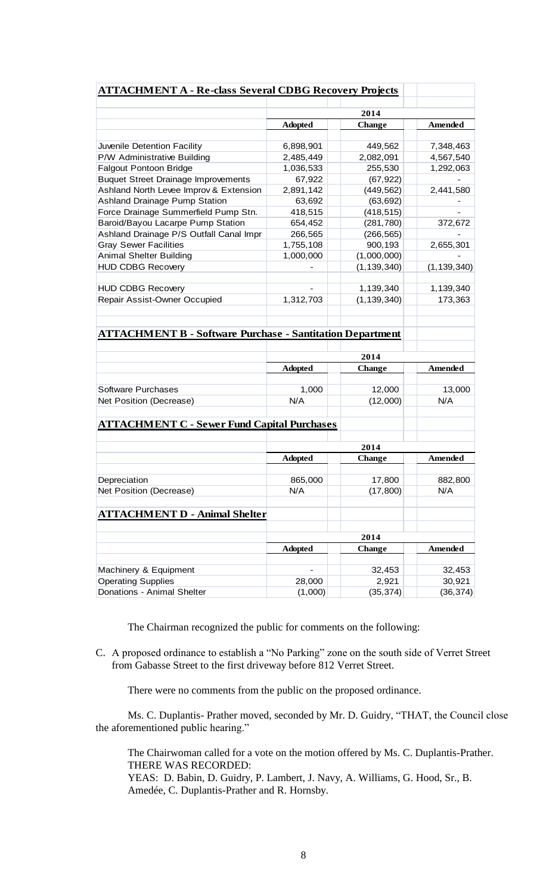| <b>ATTACHMENT A - Re-class Several CDBG Recovery Projects</b>    |                   |                    |                     |
|------------------------------------------------------------------|-------------------|--------------------|---------------------|
|                                                                  |                   |                    |                     |
|                                                                  |                   | 2014               | <b>Amended</b>      |
|                                                                  | <b>Adopted</b>    | <b>Change</b>      |                     |
| Juvenile Detention Facility                                      | 6,898,901         | 449,562            | 7,348,463           |
| P/W Administrative Building                                      | 2,485,449         | 2,082,091          | 4,567,540           |
| <b>Falgout Pontoon Bridge</b>                                    | 1,036,533         | 255,530            | 1,292,063           |
| <b>Buquet Street Drainage Improvements</b>                       | 67,922            | (67, 922)          |                     |
| Ashland North Levee Improv & Extension                           | 2,891,142         | (449, 562)         | 2,441,580           |
| <b>Ashland Drainage Pump Station</b>                             | 63,692            | (63, 692)          |                     |
| Force Drainage Summerfield Pump Stn.                             | 418,515           | (418, 515)         |                     |
|                                                                  |                   |                    |                     |
| Baroid/Bayou Lacarpe Pump Station                                | 654,452           | (281, 780)         | 372,672             |
| Ashland Drainage P/S Outfall Canal Impr                          | 266,565           | (266, 565)         |                     |
| <b>Gray Sewer Facilities</b>                                     | 1,755,108         | 900,193            | 2,655,301           |
| <b>Animal Shelter Building</b>                                   | 1,000,000         | (1,000,000)        |                     |
| <b>HUD CDBG Recovery</b>                                         |                   | (1, 139, 340)      | (1, 139, 340)       |
|                                                                  |                   |                    |                     |
| <b>HUD CDBG Recovery</b>                                         |                   | 1,139,340          | 1,139,340           |
| Repair Assist-Owner Occupied                                     | 1,312,703         | (1, 139, 340)      | 173,363             |
|                                                                  |                   |                    |                     |
|                                                                  |                   |                    |                     |
| <b>ATTACHMENT B - Software Purchase - Santitation Department</b> |                   |                    |                     |
|                                                                  |                   |                    |                     |
|                                                                  |                   |                    |                     |
|                                                                  | <b>Adopted</b>    | <b>Change</b>      | Amended             |
|                                                                  |                   |                    |                     |
| Software Purchases                                               | 1,000             | 12,000             | 13,000              |
| Net Position (Decrease)                                          | N/A               | (12,000)           | N/A                 |
|                                                                  |                   |                    |                     |
| <b>ATTACHMENT C - Sewer Fund Capital Purchases</b>               |                   |                    |                     |
|                                                                  |                   |                    |                     |
|                                                                  | 2014              |                    |                     |
|                                                                  | <b>Adopted</b>    | <b>Change</b>      | Amended             |
|                                                                  |                   |                    |                     |
| Depreciation                                                     | 865,000           | 17,800             | 882,800             |
| Net Position (Decrease)                                          | N/A               | (17, 800)          | N/A                 |
|                                                                  |                   |                    |                     |
| <b>ATTACHMENT D - Animal Shelter</b>                             |                   |                    |                     |
|                                                                  |                   |                    |                     |
|                                                                  |                   |                    |                     |
|                                                                  | 2014              |                    |                     |
|                                                                  |                   | Change             | Amended             |
|                                                                  | <b>Adopted</b>    |                    |                     |
|                                                                  |                   |                    |                     |
| Machinery & Equipment                                            |                   | 32,453             | 32,453              |
| <b>Operating Supplies</b><br>Donations - Animal Shelter          | 28,000<br>(1,000) | 2,921<br>(35, 374) | 30,921<br>(36, 374) |

The Chairman recognized the public for comments on the following:

C. A proposed ordinance to establish a "No Parking" zone on the south side of Verret Street from Gabasse Street to the first driveway before 812 Verret Street.

There were no comments from the public on the proposed ordinance.

Ms. C. Duplantis- Prather moved, seconded by Mr. D. Guidry, "THAT, the Council close the aforementioned public hearing."

The Chairwoman called for a vote on the motion offered by Ms. C. Duplantis-Prather. THERE WAS RECORDED:

YEAS: D. Babin, D. Guidry, P. Lambert, J. Navy, A. Williams, G. Hood, Sr., B. Amedée, C. Duplantis-Prather and R. Hornsby.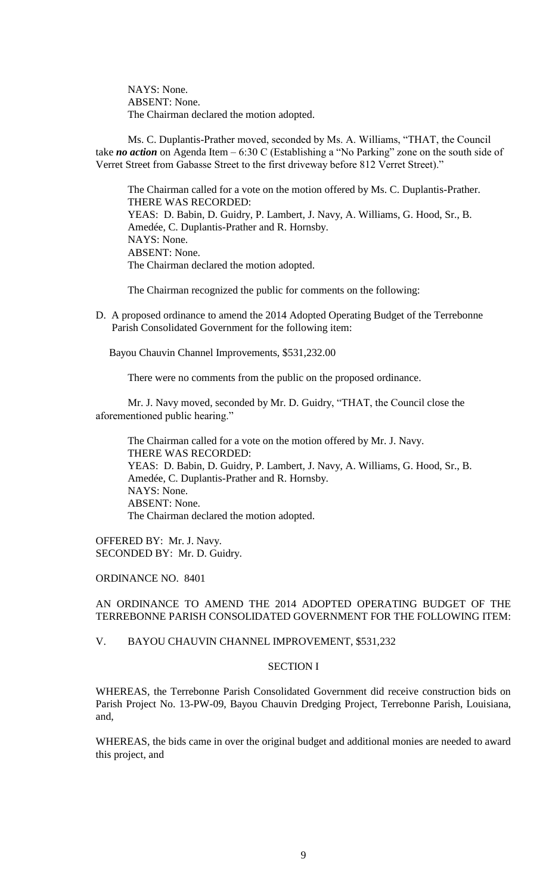NAYS: None. ABSENT: None. The Chairman declared the motion adopted.

Ms. C. Duplantis-Prather moved, seconded by Ms. A. Williams, "THAT, the Council take *no action* on Agenda Item – 6:30 C (Establishing a "No Parking" zone on the south side of Verret Street from Gabasse Street to the first driveway before 812 Verret Street)."

The Chairman called for a vote on the motion offered by Ms. C. Duplantis-Prather. THERE WAS RECORDED: YEAS: D. Babin, D. Guidry, P. Lambert, J. Navy, A. Williams, G. Hood, Sr., B. Amedée, C. Duplantis-Prather and R. Hornsby. NAYS: None. ABSENT: None. The Chairman declared the motion adopted.

The Chairman recognized the public for comments on the following:

D. A proposed ordinance to amend the 2014 Adopted Operating Budget of the Terrebonne Parish Consolidated Government for the following item:

Bayou Chauvin Channel Improvements, \$531,232.00

There were no comments from the public on the proposed ordinance.

Mr. J. Navy moved, seconded by Mr. D. Guidry, "THAT, the Council close the aforementioned public hearing."

The Chairman called for a vote on the motion offered by Mr. J. Navy. THERE WAS RECORDED: YEAS: D. Babin, D. Guidry, P. Lambert, J. Navy, A. Williams, G. Hood, Sr., B. Amedée, C. Duplantis-Prather and R. Hornsby. NAYS: None. ABSENT: None. The Chairman declared the motion adopted.

OFFERED BY: Mr. J. Navy. SECONDED BY: Mr. D. Guidry.

# ORDINANCE NO. 8401

## AN ORDINANCE TO AMEND THE 2014 ADOPTED OPERATING BUDGET OF THE TERREBONNE PARISH CONSOLIDATED GOVERNMENT FOR THE FOLLOWING ITEM:

V. BAYOU CHAUVIN CHANNEL IMPROVEMENT, \$531,232

## SECTION I

WHEREAS, the Terrebonne Parish Consolidated Government did receive construction bids on Parish Project No. 13-PW-09, Bayou Chauvin Dredging Project, Terrebonne Parish, Louisiana, and,

WHEREAS, the bids came in over the original budget and additional monies are needed to award this project, and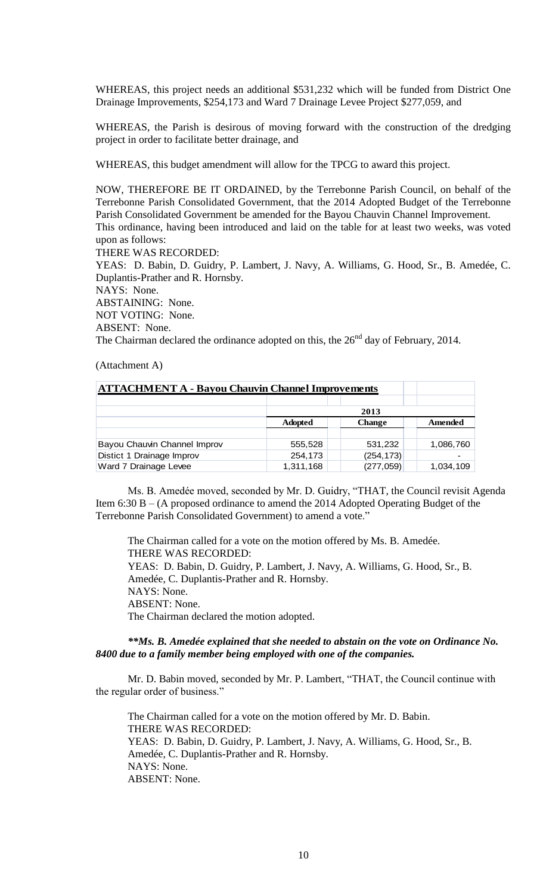WHEREAS, this project needs an additional \$531,232 which will be funded from District One Drainage Improvements, \$254,173 and Ward 7 Drainage Levee Project \$277,059, and

WHEREAS, the Parish is desirous of moving forward with the construction of the dredging project in order to facilitate better drainage, and

WHEREAS, this budget amendment will allow for the TPCG to award this project.

NOW, THEREFORE BE IT ORDAINED, by the Terrebonne Parish Council, on behalf of the Terrebonne Parish Consolidated Government, that the 2014 Adopted Budget of the Terrebonne Parish Consolidated Government be amended for the Bayou Chauvin Channel Improvement. This ordinance, having been introduced and laid on the table for at least two weeks, was voted upon as follows:

THERE WAS RECORDED:

YEAS: D. Babin, D. Guidry, P. Lambert, J. Navy, A. Williams, G. Hood, Sr., B. Amedée, C. Duplantis-Prather and R. Hornsby.

NAYS: None.

ABSTAINING: None. NOT VOTING: None.

ABSENT: None.

The Chairman declared the ordinance adopted on this, the  $26<sup>nd</sup>$  day of February, 2014.

(Attachment A)

| <b>ATTACHMENT A - Bayou Chauvin Channel Improvements</b> |                |               |           |  |
|----------------------------------------------------------|----------------|---------------|-----------|--|
|                                                          |                |               |           |  |
|                                                          |                | 2013          |           |  |
|                                                          | <b>Adopted</b> | <b>Change</b> | Amended   |  |
|                                                          |                |               |           |  |
| Bayou Chauvin Channel Improv                             | 555,528        | 531,232       | 1,086,760 |  |
| Distict 1 Drainage Improv                                | 254,173        | (254, 173)    |           |  |
| Ward 7 Drainage Levee                                    | 1,311,168      | (277, 059)    | 1,034,109 |  |

Ms. B. Amedée moved, seconded by Mr. D. Guidry, "THAT, the Council revisit Agenda Item 6:30 B – (A proposed ordinance to amend the 2014 Adopted Operating Budget of the Terrebonne Parish Consolidated Government) to amend a vote."

The Chairman called for a vote on the motion offered by Ms. B. Amedée. THERE WAS RECORDED: YEAS: D. Babin, D. Guidry, P. Lambert, J. Navy, A. Williams, G. Hood, Sr., B. Amedée, C. Duplantis-Prather and R. Hornsby. NAYS: None. ABSENT: None. The Chairman declared the motion adopted.

*\*\*Ms. B. Amedée explained that she needed to abstain on the vote on Ordinance No. 8400 due to a family member being employed with one of the companies.*

Mr. D. Babin moved, seconded by Mr. P. Lambert, "THAT, the Council continue with the regular order of business."

The Chairman called for a vote on the motion offered by Mr. D. Babin. THERE WAS RECORDED: YEAS: D. Babin, D. Guidry, P. Lambert, J. Navy, A. Williams, G. Hood, Sr., B. Amedée, C. Duplantis-Prather and R. Hornsby. NAYS: None. ABSENT: None.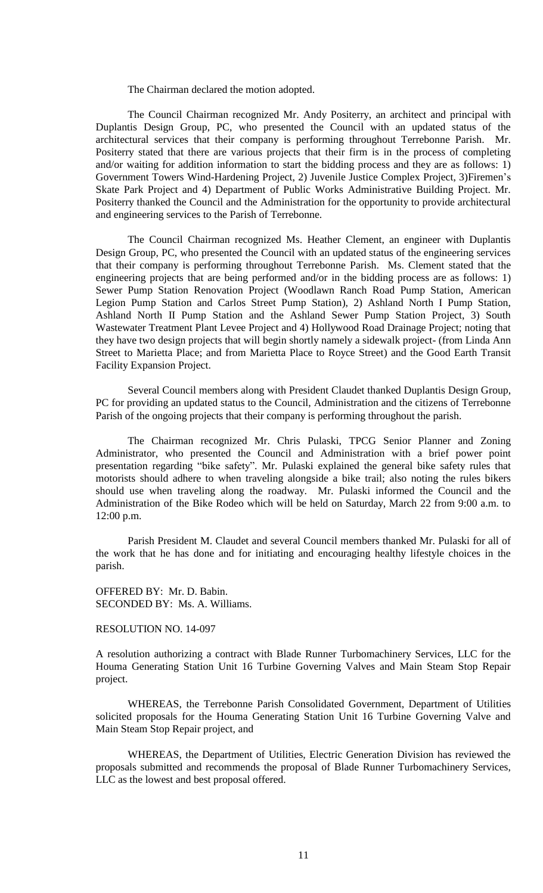The Chairman declared the motion adopted.

The Council Chairman recognized Mr. Andy Positerry, an architect and principal with Duplantis Design Group, PC, who presented the Council with an updated status of the architectural services that their company is performing throughout Terrebonne Parish. Mr. Positerry stated that there are various projects that their firm is in the process of completing and/or waiting for addition information to start the bidding process and they are as follows: 1) Government Towers Wind-Hardening Project, 2) Juvenile Justice Complex Project, 3)Firemen's Skate Park Project and 4) Department of Public Works Administrative Building Project. Mr. Positerry thanked the Council and the Administration for the opportunity to provide architectural and engineering services to the Parish of Terrebonne.

The Council Chairman recognized Ms. Heather Clement, an engineer with Duplantis Design Group, PC, who presented the Council with an updated status of the engineering services that their company is performing throughout Terrebonne Parish. Ms. Clement stated that the engineering projects that are being performed and/or in the bidding process are as follows: 1) Sewer Pump Station Renovation Project (Woodlawn Ranch Road Pump Station, American Legion Pump Station and Carlos Street Pump Station), 2) Ashland North I Pump Station, Ashland North II Pump Station and the Ashland Sewer Pump Station Project, 3) South Wastewater Treatment Plant Levee Project and 4) Hollywood Road Drainage Project; noting that they have two design projects that will begin shortly namely a sidewalk project- (from Linda Ann Street to Marietta Place; and from Marietta Place to Royce Street) and the Good Earth Transit Facility Expansion Project.

Several Council members along with President Claudet thanked Duplantis Design Group, PC for providing an updated status to the Council, Administration and the citizens of Terrebonne Parish of the ongoing projects that their company is performing throughout the parish.

The Chairman recognized Mr. Chris Pulaski, TPCG Senior Planner and Zoning Administrator, who presented the Council and Administration with a brief power point presentation regarding "bike safety". Mr. Pulaski explained the general bike safety rules that motorists should adhere to when traveling alongside a bike trail; also noting the rules bikers should use when traveling along the roadway. Mr. Pulaski informed the Council and the Administration of the Bike Rodeo which will be held on Saturday, March 22 from 9:00 a.m. to 12:00 p.m.

Parish President M. Claudet and several Council members thanked Mr. Pulaski for all of the work that he has done and for initiating and encouraging healthy lifestyle choices in the parish.

OFFERED BY: Mr. D. Babin. SECONDED BY: Ms. A. Williams.

## RESOLUTION NO. 14-097

A resolution authorizing a contract with Blade Runner Turbomachinery Services, LLC for the Houma Generating Station Unit 16 Turbine Governing Valves and Main Steam Stop Repair project.

WHEREAS, the Terrebonne Parish Consolidated Government, Department of Utilities solicited proposals for the Houma Generating Station Unit 16 Turbine Governing Valve and Main Steam Stop Repair project, and

WHEREAS, the Department of Utilities, Electric Generation Division has reviewed the proposals submitted and recommends the proposal of Blade Runner Turbomachinery Services, LLC as the lowest and best proposal offered.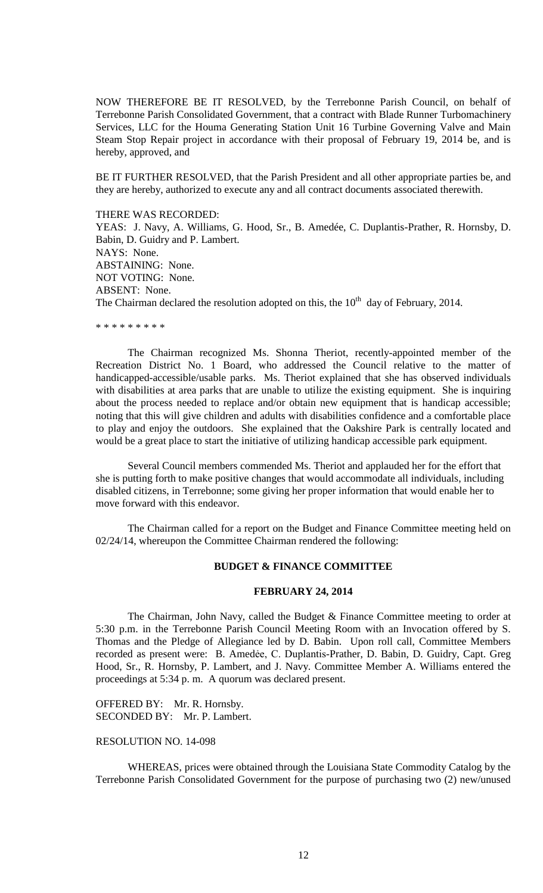NOW THEREFORE BE IT RESOLVED, by the Terrebonne Parish Council, on behalf of Terrebonne Parish Consolidated Government, that a contract with Blade Runner Turbomachinery Services, LLC for the Houma Generating Station Unit 16 Turbine Governing Valve and Main Steam Stop Repair project in accordance with their proposal of February 19, 2014 be, and is hereby, approved, and

BE IT FURTHER RESOLVED, that the Parish President and all other appropriate parties be, and they are hereby, authorized to execute any and all contract documents associated therewith.

## THERE WAS RECORDED:

YEAS: J. Navy, A. Williams, G. Hood, Sr., B. Amedée, C. Duplantis-Prather, R. Hornsby, D. Babin, D. Guidry and P. Lambert. NAYS: None. ABSTAINING: None. NOT VOTING: None. ABSENT: None. The Chairman declared the resolution adopted on this, the  $10<sup>th</sup>$  day of February, 2014.

#### \* \* \* \* \* \* \* \* \*

The Chairman recognized Ms. Shonna Theriot, recently-appointed member of the Recreation District No. 1 Board, who addressed the Council relative to the matter of handicapped-accessible/usable parks. Ms. Theriot explained that she has observed individuals with disabilities at area parks that are unable to utilize the existing equipment. She is inquiring about the process needed to replace and/or obtain new equipment that is handicap accessible; noting that this will give children and adults with disabilities confidence and a comfortable place to play and enjoy the outdoors. She explained that the Oakshire Park is centrally located and would be a great place to start the initiative of utilizing handicap accessible park equipment.

Several Council members commended Ms. Theriot and applauded her for the effort that she is putting forth to make positive changes that would accommodate all individuals, including disabled citizens, in Terrebonne; some giving her proper information that would enable her to move forward with this endeavor.

The Chairman called for a report on the Budget and Finance Committee meeting held on 02/24/14, whereupon the Committee Chairman rendered the following:

### **BUDGET & FINANCE COMMITTEE**

#### **FEBRUARY 24, 2014**

The Chairman, John Navy, called the Budget & Finance Committee meeting to order at 5:30 p.m. in the Terrebonne Parish Council Meeting Room with an Invocation offered by S. Thomas and the Pledge of Allegiance led by D. Babin. Upon roll call, Committee Members recorded as present were: B. Amedẻe, C. Duplantis-Prather, D. Babin, D. Guidry, Capt. Greg Hood, Sr., R. Hornsby, P. Lambert, and J. Navy. Committee Member A. Williams entered the proceedings at 5:34 p. m. A quorum was declared present.

OFFERED BY: Mr. R. Hornsby. SECONDED BY: Mr. P. Lambert.

## RESOLUTION NO. 14-098

WHEREAS, prices were obtained through the Louisiana State Commodity Catalog by the Terrebonne Parish Consolidated Government for the purpose of purchasing two (2) new/unused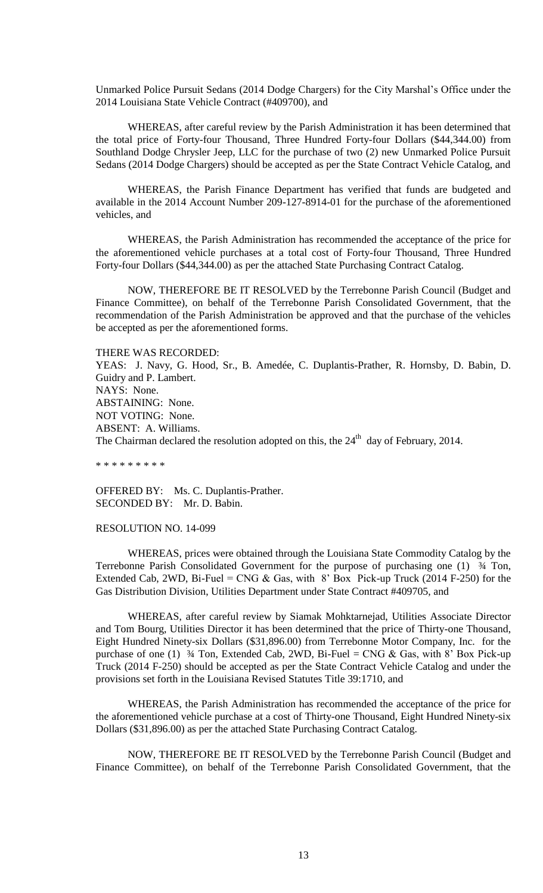Unmarked Police Pursuit Sedans (2014 Dodge Chargers) for the City Marshal's Office under the 2014 Louisiana State Vehicle Contract (#409700), and

WHEREAS, after careful review by the Parish Administration it has been determined that the total price of Forty-four Thousand, Three Hundred Forty-four Dollars (\$44,344.00) from Southland Dodge Chrysler Jeep, LLC for the purchase of two (2) new Unmarked Police Pursuit Sedans (2014 Dodge Chargers) should be accepted as per the State Contract Vehicle Catalog, and

WHEREAS, the Parish Finance Department has verified that funds are budgeted and available in the 2014 Account Number 209-127-8914-01 for the purchase of the aforementioned vehicles, and

WHEREAS, the Parish Administration has recommended the acceptance of the price for the aforementioned vehicle purchases at a total cost of Forty-four Thousand, Three Hundred Forty-four Dollars (\$44,344.00) as per the attached State Purchasing Contract Catalog.

NOW, THEREFORE BE IT RESOLVED by the Terrebonne Parish Council (Budget and Finance Committee), on behalf of the Terrebonne Parish Consolidated Government, that the recommendation of the Parish Administration be approved and that the purchase of the vehicles be accepted as per the aforementioned forms.

THERE WAS RECORDED:

YEAS: J. Navy, G. Hood, Sr., B. Amedée, C. Duplantis-Prather, R. Hornsby, D. Babin, D. Guidry and P. Lambert. NAYS: None. ABSTAINING: None. NOT VOTING: None. ABSENT: A. Williams. The Chairman declared the resolution adopted on this, the  $24<sup>th</sup>$  day of February, 2014.

\* \* \* \* \* \* \* \* \*

OFFERED BY: Ms. C. Duplantis-Prather. SECONDED BY: Mr. D. Babin.

## RESOLUTION NO. 14-099

WHEREAS, prices were obtained through the Louisiana State Commodity Catalog by the Terrebonne Parish Consolidated Government for the purpose of purchasing one (1) ¾ Ton, Extended Cab, 2WD, Bi-Fuel = CNG & Gas, with  $8'$  Box Pick-up Truck (2014 F-250) for the Gas Distribution Division, Utilities Department under State Contract #409705, and

WHEREAS, after careful review by Siamak Mohktarnejad, Utilities Associate Director and Tom Bourg, Utilities Director it has been determined that the price of Thirty-one Thousand, Eight Hundred Ninety-six Dollars (\$31,896.00) from Terrebonne Motor Company, Inc. for the purchase of one (1)  $\frac{3}{4}$  Ton, Extended Cab, 2WD, Bi-Fuel = CNG & Gas, with 8' Box Pick-up Truck (2014 F-250) should be accepted as per the State Contract Vehicle Catalog and under the provisions set forth in the Louisiana Revised Statutes Title 39:1710, and

WHEREAS, the Parish Administration has recommended the acceptance of the price for the aforementioned vehicle purchase at a cost of Thirty-one Thousand, Eight Hundred Ninety-six Dollars (\$31,896.00) as per the attached State Purchasing Contract Catalog.

NOW, THEREFORE BE IT RESOLVED by the Terrebonne Parish Council (Budget and Finance Committee), on behalf of the Terrebonne Parish Consolidated Government, that the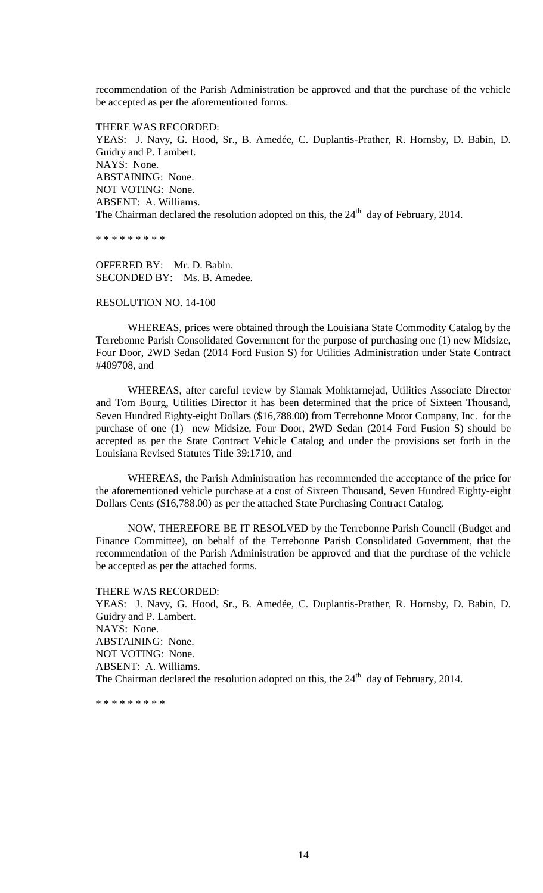recommendation of the Parish Administration be approved and that the purchase of the vehicle be accepted as per the aforementioned forms.

THERE WAS RECORDED: YEAS: J. Navy, G. Hood, Sr., B. Amedée, C. Duplantis-Prather, R. Hornsby, D. Babin, D. Guidry and P. Lambert. NAYS: None. ABSTAINING: None. NOT VOTING: None. ABSENT: A. Williams. The Chairman declared the resolution adopted on this, the  $24<sup>th</sup>$  day of February, 2014.

\* \* \* \* \* \* \* \* \*

OFFERED BY: Mr. D. Babin. SECONDED BY: Ms. B. Amedee.

RESOLUTION NO. 14-100

WHEREAS, prices were obtained through the Louisiana State Commodity Catalog by the Terrebonne Parish Consolidated Government for the purpose of purchasing one (1) new Midsize, Four Door, 2WD Sedan (2014 Ford Fusion S) for Utilities Administration under State Contract #409708, and

WHEREAS, after careful review by Siamak Mohktarnejad, Utilities Associate Director and Tom Bourg, Utilities Director it has been determined that the price of Sixteen Thousand, Seven Hundred Eighty-eight Dollars (\$16,788.00) from Terrebonne Motor Company, Inc. for the purchase of one (1) new Midsize, Four Door, 2WD Sedan (2014 Ford Fusion S) should be accepted as per the State Contract Vehicle Catalog and under the provisions set forth in the Louisiana Revised Statutes Title 39:1710, and

WHEREAS, the Parish Administration has recommended the acceptance of the price for the aforementioned vehicle purchase at a cost of Sixteen Thousand, Seven Hundred Eighty-eight Dollars Cents (\$16,788.00) as per the attached State Purchasing Contract Catalog.

NOW, THEREFORE BE IT RESOLVED by the Terrebonne Parish Council (Budget and Finance Committee), on behalf of the Terrebonne Parish Consolidated Government, that the recommendation of the Parish Administration be approved and that the purchase of the vehicle be accepted as per the attached forms.

#### THERE WAS RECORDED:

YEAS: J. Navy, G. Hood, Sr., B. Amedée, C. Duplantis-Prather, R. Hornsby, D. Babin, D. Guidry and P. Lambert. NAYS: None. ABSTAINING: None. NOT VOTING: None. ABSENT: A. Williams. The Chairman declared the resolution adopted on this, the  $24<sup>th</sup>$  day of February, 2014.

\* \* \* \* \* \* \* \* \*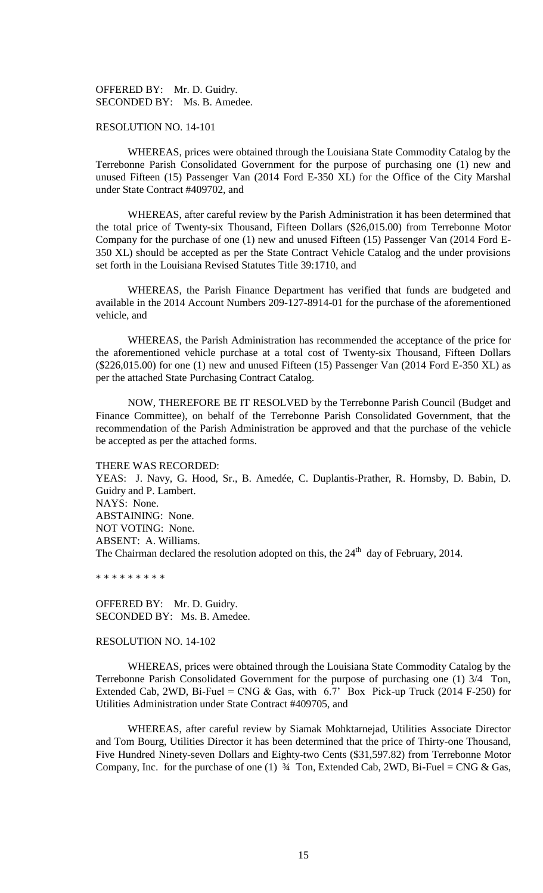OFFERED BY: Mr. D. Guidry. SECONDED BY: Ms. B. Amedee.

## RESOLUTION NO. 14-101

WHEREAS, prices were obtained through the Louisiana State Commodity Catalog by the Terrebonne Parish Consolidated Government for the purpose of purchasing one (1) new and unused Fifteen (15) Passenger Van (2014 Ford E-350 XL) for the Office of the City Marshal under State Contract #409702, and

WHEREAS, after careful review by the Parish Administration it has been determined that the total price of Twenty-six Thousand, Fifteen Dollars (\$26,015.00) from Terrebonne Motor Company for the purchase of one (1) new and unused Fifteen (15) Passenger Van (2014 Ford E-350 XL) should be accepted as per the State Contract Vehicle Catalog and the under provisions set forth in the Louisiana Revised Statutes Title 39:1710, and

WHEREAS, the Parish Finance Department has verified that funds are budgeted and available in the 2014 Account Numbers 209-127-8914-01 for the purchase of the aforementioned vehicle, and

WHEREAS, the Parish Administration has recommended the acceptance of the price for the aforementioned vehicle purchase at a total cost of Twenty-six Thousand, Fifteen Dollars  $(\$226,015.00)$  for one (1) new and unused Fifteen (15) Passenger Van (2014 Ford E-350 XL) as per the attached State Purchasing Contract Catalog.

NOW, THEREFORE BE IT RESOLVED by the Terrebonne Parish Council (Budget and Finance Committee), on behalf of the Terrebonne Parish Consolidated Government, that the recommendation of the Parish Administration be approved and that the purchase of the vehicle be accepted as per the attached forms.

THERE WAS RECORDED:

YEAS: J. Navy, G. Hood, Sr., B. Amedée, C. Duplantis-Prather, R. Hornsby, D. Babin, D. Guidry and P. Lambert. NAYS: None. ABSTAINING: None. NOT VOTING: None. ABSENT: A. Williams. The Chairman declared the resolution adopted on this, the  $24<sup>th</sup>$  day of February, 2014.

\* \* \* \* \* \* \* \* \*

OFFERED BY: Mr. D. Guidry. SECONDED BY: Ms. B. Amedee.

## RESOLUTION NO. 14-102

WHEREAS, prices were obtained through the Louisiana State Commodity Catalog by the Terrebonne Parish Consolidated Government for the purpose of purchasing one (1) 3/4 Ton, Extended Cab, 2WD, Bi-Fuel = CNG & Gas, with  $6.7'$  Box Pick-up Truck (2014 F-250) for Utilities Administration under State Contract #409705, and

WHEREAS, after careful review by Siamak Mohktarnejad, Utilities Associate Director and Tom Bourg, Utilities Director it has been determined that the price of Thirty-one Thousand, Five Hundred Ninety-seven Dollars and Eighty-two Cents (\$31,597.82) from Terrebonne Motor Company, Inc. for the purchase of one (1)  $\frac{3}{4}$  Ton, Extended Cab, 2WD, Bi-Fuel = CNG & Gas,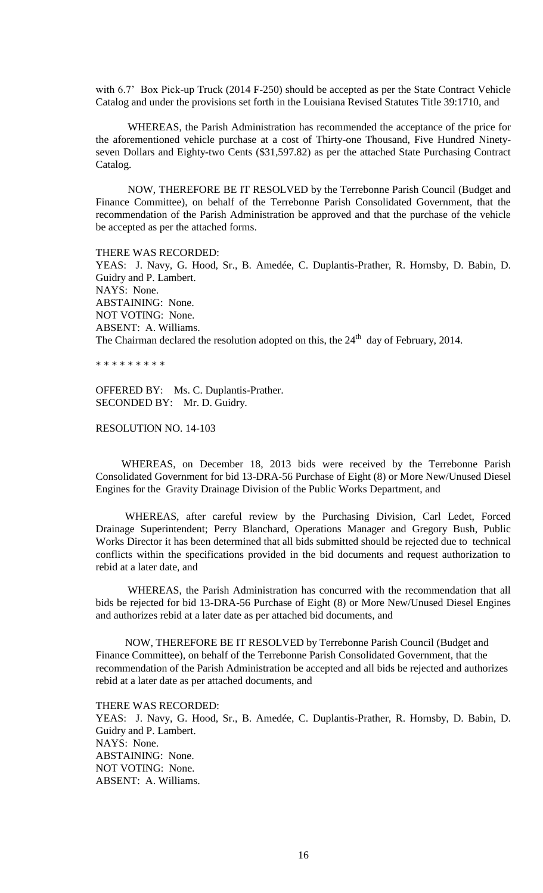with 6.7' Box Pick-up Truck (2014 F-250) should be accepted as per the State Contract Vehicle Catalog and under the provisions set forth in the Louisiana Revised Statutes Title 39:1710, and

WHEREAS, the Parish Administration has recommended the acceptance of the price for the aforementioned vehicle purchase at a cost of Thirty-one Thousand, Five Hundred Ninetyseven Dollars and Eighty-two Cents (\$31,597.82) as per the attached State Purchasing Contract Catalog.

NOW, THEREFORE BE IT RESOLVED by the Terrebonne Parish Council (Budget and Finance Committee), on behalf of the Terrebonne Parish Consolidated Government, that the recommendation of the Parish Administration be approved and that the purchase of the vehicle be accepted as per the attached forms.

THERE WAS RECORDED:

YEAS: J. Navy, G. Hood, Sr., B. Amedée, C. Duplantis-Prather, R. Hornsby, D. Babin, D. Guidry and P. Lambert. NAYS: None. ABSTAINING: None. NOT VOTING: None. ABSENT: A. Williams. The Chairman declared the resolution adopted on this, the  $24<sup>th</sup>$  day of February, 2014.

\* \* \* \* \* \* \* \* \*

OFFERED BY: Ms. C. Duplantis-Prather. SECONDED BY: Mr. D. Guidry.

RESOLUTION NO. 14-103

 WHEREAS, on December 18, 2013 bids were received by the Terrebonne Parish Consolidated Government for bid 13-DRA-56 Purchase of Eight (8) or More New/Unused Diesel Engines for the Gravity Drainage Division of the Public Works Department, and

 WHEREAS, after careful review by the Purchasing Division, Carl Ledet, Forced Drainage Superintendent; Perry Blanchard, Operations Manager and Gregory Bush, Public Works Director it has been determined that all bids submitted should be rejected due to technical conflicts within the specifications provided in the bid documents and request authorization to rebid at a later date, and

 WHEREAS, the Parish Administration has concurred with the recommendation that all bids be rejected for bid 13-DRA-56 Purchase of Eight (8) or More New/Unused Diesel Engines and authorizes rebid at a later date as per attached bid documents, and

 NOW, THEREFORE BE IT RESOLVED by Terrebonne Parish Council (Budget and Finance Committee), on behalf of the Terrebonne Parish Consolidated Government, that the recommendation of the Parish Administration be accepted and all bids be rejected and authorizes rebid at a later date as per attached documents, and

THERE WAS RECORDED:

YEAS: J. Navy, G. Hood, Sr., B. Amedée, C. Duplantis-Prather, R. Hornsby, D. Babin, D. Guidry and P. Lambert. NAYS: None. ABSTAINING: None. NOT VOTING: None. ABSENT: A. Williams.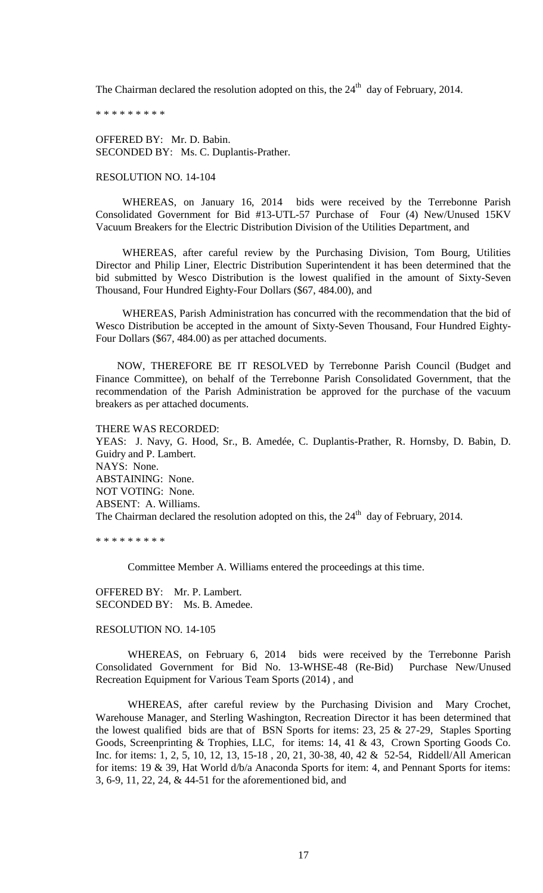The Chairman declared the resolution adopted on this, the  $24<sup>th</sup>$  day of February, 2014.

\* \* \* \* \* \* \* \* \*

OFFERED BY: Mr. D. Babin. SECONDED BY: Ms. C. Duplantis-Prather.

## RESOLUTION NO. 14-104

 WHEREAS, on January 16, 2014 bids were received by the Terrebonne Parish Consolidated Government for Bid #13-UTL-57 Purchase of Four (4) New/Unused 15KV Vacuum Breakers for the Electric Distribution Division of the Utilities Department, and

 WHEREAS, after careful review by the Purchasing Division, Tom Bourg, Utilities Director and Philip Liner, Electric Distribution Superintendent it has been determined that the bid submitted by Wesco Distribution is the lowest qualified in the amount of Sixty-Seven Thousand, Four Hundred Eighty-Four Dollars (\$67, 484.00), and

 WHEREAS, Parish Administration has concurred with the recommendation that the bid of Wesco Distribution be accepted in the amount of Sixty-Seven Thousand, Four Hundred Eighty-Four Dollars (\$67, 484.00) as per attached documents.

 NOW, THEREFORE BE IT RESOLVED by Terrebonne Parish Council (Budget and Finance Committee), on behalf of the Terrebonne Parish Consolidated Government, that the recommendation of the Parish Administration be approved for the purchase of the vacuum breakers as per attached documents.

THERE WAS RECORDED:

YEAS: J. Navy, G. Hood, Sr., B. Amedée, C. Duplantis-Prather, R. Hornsby, D. Babin, D. Guidry and P. Lambert. NAYS: None. ABSTAINING: None. NOT VOTING: None. ABSENT: A. Williams. The Chairman declared the resolution adopted on this, the  $24<sup>th</sup>$  day of February, 2014.

\* \* \* \* \* \* \* \* \*

Committee Member A. Williams entered the proceedings at this time.

OFFERED BY: Mr. P. Lambert. SECONDED BY: Ms. B. Amedee.

# RESOLUTION NO. 14-105

WHEREAS, on February 6, 2014 bids were received by the Terrebonne Parish Consolidated Government for Bid No. 13-WHSE-48 (Re-Bid) Purchase New/Unused Recreation Equipment for Various Team Sports (2014) , and

WHEREAS, after careful review by the Purchasing Division and Mary Crochet, Warehouse Manager, and Sterling Washington, Recreation Director it has been determined that the lowest qualified bids are that of BSN Sports for items: 23, 25  $& 27-29$ , Staples Sporting Goods, Screenprinting & Trophies, LLC, for items: 14, 41 & 43, Crown Sporting Goods Co. Inc. for items: 1, 2, 5, 10, 12, 13, 15-18 , 20, 21, 30-38, 40, 42 & 52-54, Riddell/All American for items: 19 & 39, Hat World d/b/a Anaconda Sports for item: 4, and Pennant Sports for items: 3, 6-9, 11, 22, 24, & 44-51 for the aforementioned bid, and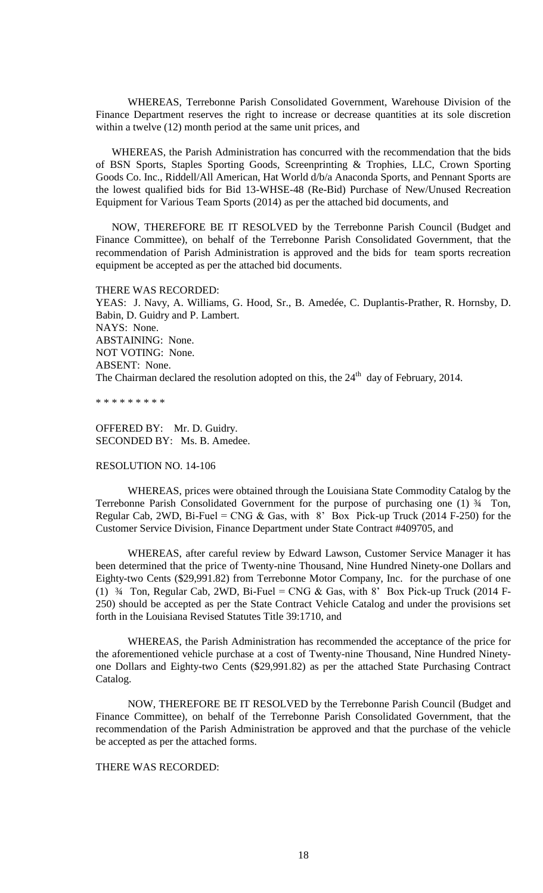WHEREAS, Terrebonne Parish Consolidated Government, Warehouse Division of the Finance Department reserves the right to increase or decrease quantities at its sole discretion within a twelve (12) month period at the same unit prices, and

WHEREAS, the Parish Administration has concurred with the recommendation that the bids of BSN Sports, Staples Sporting Goods, Screenprinting & Trophies, LLC, Crown Sporting Goods Co. Inc., Riddell/All American, Hat World d/b/a Anaconda Sports, and Pennant Sports are the lowest qualified bids for Bid 13-WHSE-48 (Re-Bid) Purchase of New/Unused Recreation Equipment for Various Team Sports (2014) as per the attached bid documents, and

NOW, THEREFORE BE IT RESOLVED by the Terrebonne Parish Council (Budget and Finance Committee), on behalf of the Terrebonne Parish Consolidated Government, that the recommendation of Parish Administration is approved and the bids for team sports recreation equipment be accepted as per the attached bid documents.

#### THERE WAS RECORDED:

YEAS: J. Navy, A. Williams, G. Hood, Sr., B. Amedée, C. Duplantis-Prather, R. Hornsby, D. Babin, D. Guidry and P. Lambert. NAYS: None. ABSTAINING: None. NOT VOTING: None. ABSENT: None. The Chairman declared the resolution adopted on this, the  $24<sup>th</sup>$  day of February, 2014.

\* \* \* \* \* \* \* \* \*

OFFERED BY: Mr. D. Guidry. SECONDED BY: Ms. B. Amedee.

RESOLUTION NO. 14-106

WHEREAS, prices were obtained through the Louisiana State Commodity Catalog by the Terrebonne Parish Consolidated Government for the purpose of purchasing one (1) ¾ Ton, Regular Cab, 2WD, Bi-Fuel = CNG & Gas, with  $8'$  Box Pick-up Truck (2014 F-250) for the Customer Service Division, Finance Department under State Contract #409705, and

WHEREAS, after careful review by Edward Lawson, Customer Service Manager it has been determined that the price of Twenty-nine Thousand, Nine Hundred Ninety-one Dollars and Eighty-two Cents (\$29,991.82) from Terrebonne Motor Company, Inc. for the purchase of one (1)  $\frac{3}{4}$  Ton, Regular Cab, 2WD, Bi-Fuel = CNG & Gas, with 8' Box Pick-up Truck (2014 F-250) should be accepted as per the State Contract Vehicle Catalog and under the provisions set forth in the Louisiana Revised Statutes Title 39:1710, and

WHEREAS, the Parish Administration has recommended the acceptance of the price for the aforementioned vehicle purchase at a cost of Twenty-nine Thousand, Nine Hundred Ninetyone Dollars and Eighty-two Cents (\$29,991.82) as per the attached State Purchasing Contract Catalog.

NOW, THEREFORE BE IT RESOLVED by the Terrebonne Parish Council (Budget and Finance Committee), on behalf of the Terrebonne Parish Consolidated Government, that the recommendation of the Parish Administration be approved and that the purchase of the vehicle be accepted as per the attached forms.

# THERE WAS RECORDED: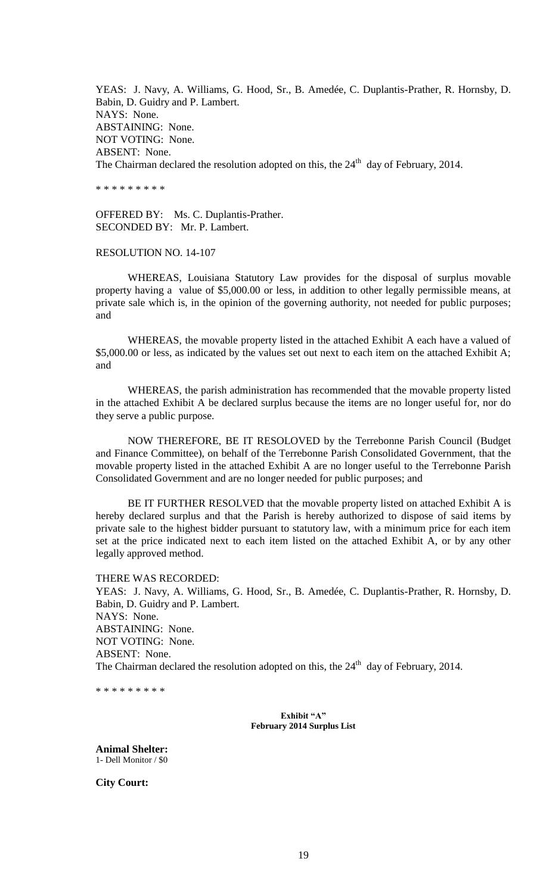YEAS: J. Navy, A. Williams, G. Hood, Sr., B. Amedée, C. Duplantis-Prather, R. Hornsby, D. Babin, D. Guidry and P. Lambert. NAYS: None. ABSTAINING: None. NOT VOTING: None. ABSENT: None. The Chairman declared the resolution adopted on this, the  $24<sup>th</sup>$  day of February, 2014.

\* \* \* \* \* \* \* \* \*

OFFERED BY: Ms. C. Duplantis-Prather. SECONDED BY: Mr. P. Lambert.

#### RESOLUTION NO. 14-107

WHEREAS, Louisiana Statutory Law provides for the disposal of surplus movable property having a value of \$5,000.00 or less, in addition to other legally permissible means, at private sale which is, in the opinion of the governing authority, not needed for public purposes; and

WHEREAS, the movable property listed in the attached Exhibit A each have a valued of \$5,000.00 or less, as indicated by the values set out next to each item on the attached Exhibit A; and

WHEREAS, the parish administration has recommended that the movable property listed in the attached Exhibit A be declared surplus because the items are no longer useful for, nor do they serve a public purpose.

NOW THEREFORE, BE IT RESOLOVED by the Terrebonne Parish Council (Budget and Finance Committee), on behalf of the Terrebonne Parish Consolidated Government, that the movable property listed in the attached Exhibit A are no longer useful to the Terrebonne Parish Consolidated Government and are no longer needed for public purposes; and

BE IT FURTHER RESOLVED that the movable property listed on attached Exhibit A is hereby declared surplus and that the Parish is hereby authorized to dispose of said items by private sale to the highest bidder pursuant to statutory law, with a minimum price for each item set at the price indicated next to each item listed on the attached Exhibit A, or by any other legally approved method.

THERE WAS RECORDED: YEAS: J. Navy, A. Williams, G. Hood, Sr., B. Amedée, C. Duplantis-Prather, R. Hornsby, D. Babin, D. Guidry and P. Lambert. NAYS: None. ABSTAINING: None. NOT VOTING: None. ABSENT: None. The Chairman declared the resolution adopted on this, the  $24<sup>th</sup>$  day of February, 2014.

\* \* \* \* \* \* \* \* \*

**Exhibit "A" February 2014 Surplus List**

**Animal Shelter:** 1- Dell Monitor / \$0

**City Court:**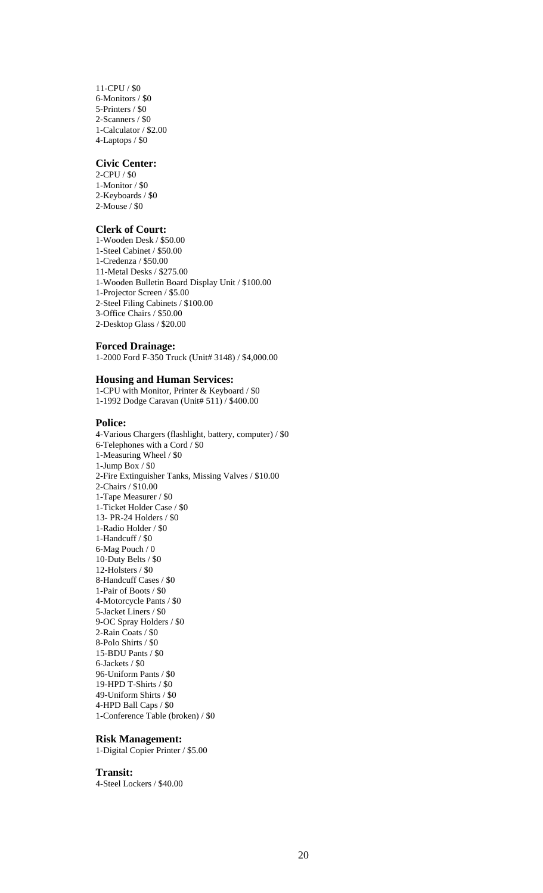11-CPU / \$0 6-Monitors / \$0 5-Printers / \$0 2-Scanners / \$0 1-Calculator / \$2.00 4-Laptops / \$0

## **Civic Center:**

2-CPU / \$0 1-Monitor / \$0 2-Keyboards / \$0 2-Mouse / \$0

#### **Clerk of Court:**

1-Wooden Desk / \$50.00 1-Steel Cabinet / \$50.00 1-Credenza / \$50.00 11-Metal Desks / \$275.00 1-Wooden Bulletin Board Display Unit / \$100.00 1-Projector Screen / \$5.00 2-Steel Filing Cabinets / \$100.00 3-Office Chairs / \$50.00 2-Desktop Glass / \$20.00

#### **Forced Drainage:**

1-2000 Ford F-350 Truck (Unit# 3148) / \$4,000.00

## **Housing and Human Services:**

1-CPU with Monitor, Printer & Keyboard / \$0 1-1992 Dodge Caravan (Unit# 511) / \$400.00

#### **Police:**

4-Various Chargers (flashlight, battery, computer) / \$0 6-Telephones with a Cord / \$0 1-Measuring Wheel / \$0 1-Jump Box / \$0 2-Fire Extinguisher Tanks, Missing Valves / \$10.00 2-Chairs / \$10.00 1-Tape Measurer / \$0 1-Ticket Holder Case / \$0 13- PR-24 Holders / \$0 1-Radio Holder / \$0 1-Handcuff / \$0 6-Mag Pouch / 0 10-Duty Belts / \$0 12-Holsters / \$0 8-Handcuff Cases / \$0 1-Pair of Boots / \$0 4-Motorcycle Pants / \$0 5-Jacket Liners / \$0 9-OC Spray Holders / \$0 2-Rain Coats / \$0 8-Polo Shirts / \$0 15-BDU Pants / \$0 6-Jackets / \$0 96-Uniform Pants / \$0 19-HPD T-Shirts / \$0 49-Uniform Shirts / \$0 4-HPD Ball Caps / \$0 1-Conference Table (broken) / \$0

## **Risk Management:**

1-Digital Copier Printer / \$5.00

#### **Transit:**

4-Steel Lockers / \$40.00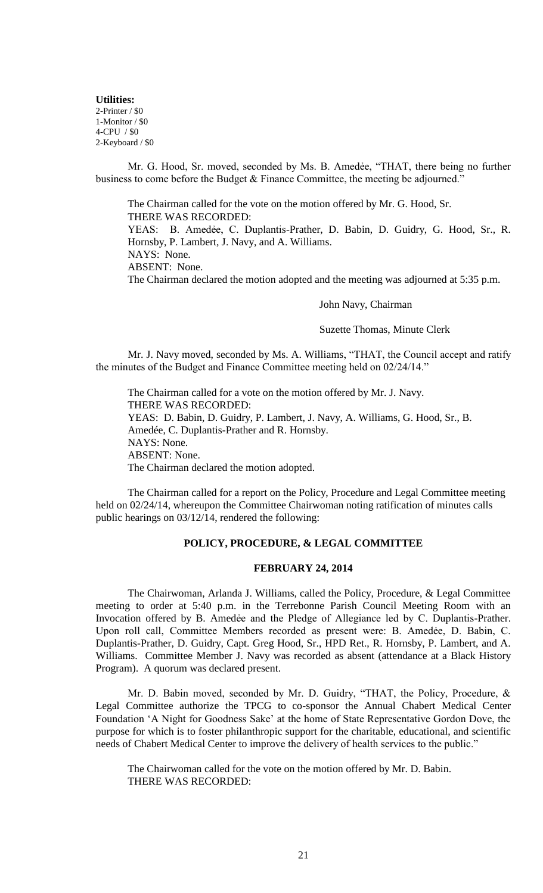**Utilities:** 2-Printer / \$0 1-Monitor / \$0 4-CPU / \$0 2-Keyboard / \$0

Mr. G. Hood, Sr. moved, seconded by Ms. B. Amedẻe, "THAT, there being no further business to come before the Budget & Finance Committee, the meeting be adjourned."

The Chairman called for the vote on the motion offered by Mr. G. Hood, Sr. THERE WAS RECORDED: YEAS: B. Amedẻe, C. Duplantis-Prather, D. Babin, D. Guidry, G. Hood, Sr., R. Hornsby, P. Lambert, J. Navy, and A. Williams. NAYS: None. ABSENT: None. The Chairman declared the motion adopted and the meeting was adjourned at 5:35 p.m.

John Navy, Chairman

#### Suzette Thomas, Minute Clerk

Mr. J. Navy moved, seconded by Ms. A. Williams, "THAT, the Council accept and ratify the minutes of the Budget and Finance Committee meeting held on 02/24/14."

The Chairman called for a vote on the motion offered by Mr. J. Navy. THERE WAS RECORDED: YEAS: D. Babin, D. Guidry, P. Lambert, J. Navy, A. Williams, G. Hood, Sr., B. Amedée, C. Duplantis-Prather and R. Hornsby. NAYS: None. ABSENT: None. The Chairman declared the motion adopted.

The Chairman called for a report on the Policy, Procedure and Legal Committee meeting held on 02/24/14, whereupon the Committee Chairwoman noting ratification of minutes calls public hearings on 03/12/14, rendered the following:

## **POLICY, PROCEDURE, & LEGAL COMMITTEE**

## **FEBRUARY 24, 2014**

The Chairwoman, Arlanda J. Williams, called the Policy, Procedure, & Legal Committee meeting to order at 5:40 p.m. in the Terrebonne Parish Council Meeting Room with an Invocation offered by B. Amedee and the Pledge of Allegiance led by C. Duplantis-Prather. Upon roll call, Committee Members recorded as present were: B. Amedẻe, D. Babin, C. Duplantis-Prather, D. Guidry, Capt. Greg Hood, Sr., HPD Ret., R. Hornsby, P. Lambert, and A. Williams. Committee Member J. Navy was recorded as absent (attendance at a Black History Program). A quorum was declared present.

Mr. D. Babin moved, seconded by Mr. D. Guidry, "THAT, the Policy, Procedure, & Legal Committee authorize the TPCG to co-sponsor the Annual Chabert Medical Center Foundation 'A Night for Goodness Sake' at the home of State Representative Gordon Dove, the purpose for which is to foster philanthropic support for the charitable, educational, and scientific needs of Chabert Medical Center to improve the delivery of health services to the public."

The Chairwoman called for the vote on the motion offered by Mr. D. Babin. THERE WAS RECORDED: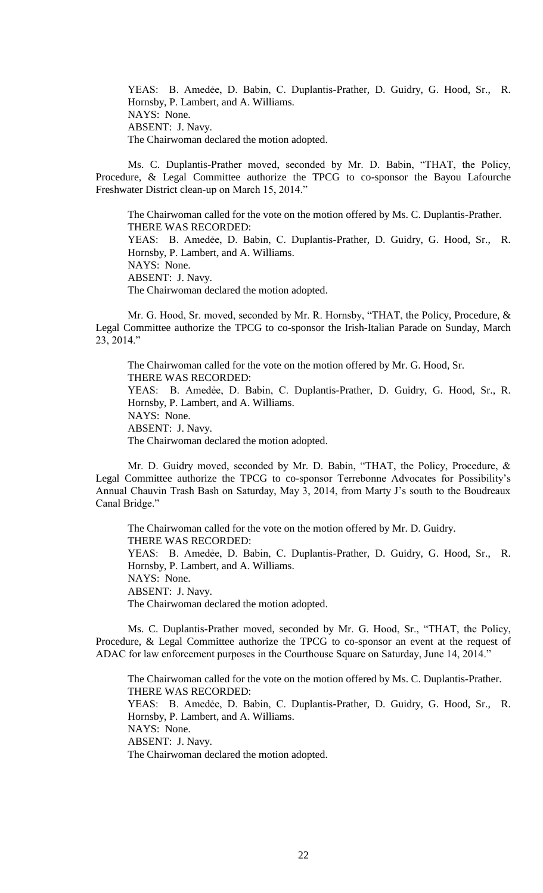YEAS: B. Amedẻe, D. Babin, C. Duplantis-Prather, D. Guidry, G. Hood, Sr., R. Hornsby, P. Lambert, and A. Williams. NAYS: None. ABSENT: J. Navy. The Chairwoman declared the motion adopted.

Ms. C. Duplantis-Prather moved, seconded by Mr. D. Babin, "THAT, the Policy, Procedure, & Legal Committee authorize the TPCG to co-sponsor the Bayou Lafourche Freshwater District clean-up on March 15, 2014."

The Chairwoman called for the vote on the motion offered by Ms. C. Duplantis-Prather. THERE WAS RECORDED: YEAS: B. Amedẻe, D. Babin, C. Duplantis-Prather, D. Guidry, G. Hood, Sr., R. Hornsby, P. Lambert, and A. Williams. NAYS: None. ABSENT: J. Navy. The Chairwoman declared the motion adopted.

Mr. G. Hood, Sr. moved, seconded by Mr. R. Hornsby, "THAT, the Policy, Procedure, & Legal Committee authorize the TPCG to co-sponsor the Irish-Italian Parade on Sunday, March 23, 2014."

The Chairwoman called for the vote on the motion offered by Mr. G. Hood, Sr. THERE WAS RECORDED: YEAS: B. Amedẻe, D. Babin, C. Duplantis-Prather, D. Guidry, G. Hood, Sr., R. Hornsby, P. Lambert, and A. Williams. NAYS: None. ABSENT: J. Navy. The Chairwoman declared the motion adopted.

Mr. D. Guidry moved, seconded by Mr. D. Babin, "THAT, the Policy, Procedure, & Legal Committee authorize the TPCG to co-sponsor Terrebonne Advocates for Possibility's Annual Chauvin Trash Bash on Saturday, May 3, 2014, from Marty J's south to the Boudreaux Canal Bridge."

The Chairwoman called for the vote on the motion offered by Mr. D. Guidry. THERE WAS RECORDED: YEAS: B. Amedẻe, D. Babin, C. Duplantis-Prather, D. Guidry, G. Hood, Sr., R. Hornsby, P. Lambert, and A. Williams. NAYS: None. ABSENT: J. Navy. The Chairwoman declared the motion adopted.

Ms. C. Duplantis-Prather moved, seconded by Mr. G. Hood, Sr., "THAT, the Policy, Procedure, & Legal Committee authorize the TPCG to co-sponsor an event at the request of ADAC for law enforcement purposes in the Courthouse Square on Saturday, June 14, 2014."

The Chairwoman called for the vote on the motion offered by Ms. C. Duplantis-Prather. THERE WAS RECORDED: YEAS: B. Amedẻe, D. Babin, C. Duplantis-Prather, D. Guidry, G. Hood, Sr., R. Hornsby, P. Lambert, and A. Williams. NAYS: None. ABSENT: J. Navy. The Chairwoman declared the motion adopted.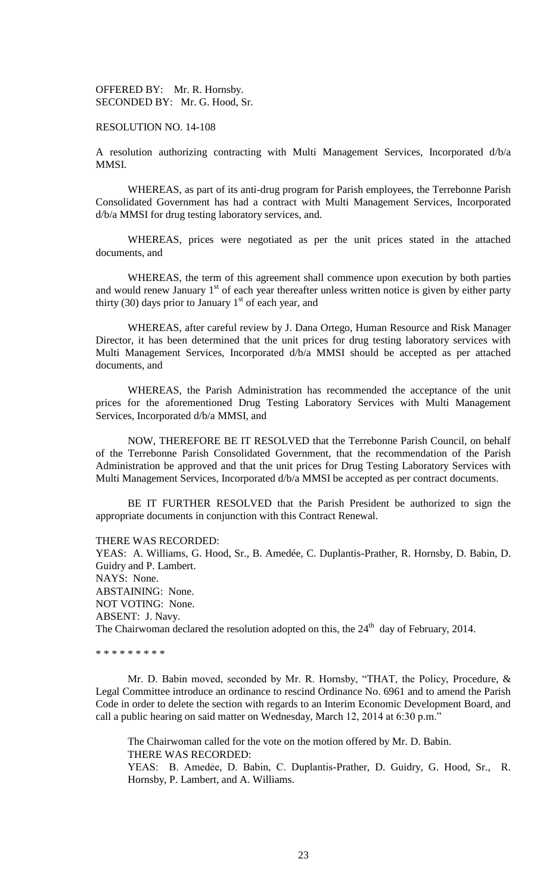OFFERED BY: Mr. R. Hornsby. SECONDED BY: Mr. G. Hood, Sr.

### RESOLUTION NO. 14-108

A resolution authorizing contracting with Multi Management Services, Incorporated d/b/a MMSI.

WHEREAS, as part of its anti-drug program for Parish employees, the Terrebonne Parish Consolidated Government has had a contract with Multi Management Services, Incorporated d/b/a MMSI for drug testing laboratory services, and.

WHEREAS, prices were negotiated as per the unit prices stated in the attached documents, and

WHEREAS, the term of this agreement shall commence upon execution by both parties and would renew January  $1<sup>st</sup>$  of each year thereafter unless written notice is given by either party thirty (30) days prior to January  $1<sup>st</sup>$  of each year, and

WHEREAS, after careful review by J. Dana Ortego, Human Resource and Risk Manager Director, it has been determined that the unit prices for drug testing laboratory services with Multi Management Services, Incorporated d/b/a MMSI should be accepted as per attached documents, and

WHEREAS, the Parish Administration has recommended the acceptance of the unit prices for the aforementioned Drug Testing Laboratory Services with Multi Management Services, Incorporated d/b/a MMSI, and

NOW, THEREFORE BE IT RESOLVED that the Terrebonne Parish Council, on behalf of the Terrebonne Parish Consolidated Government, that the recommendation of the Parish Administration be approved and that the unit prices for Drug Testing Laboratory Services with Multi Management Services, Incorporated d/b/a MMSI be accepted as per contract documents.

BE IT FURTHER RESOLVED that the Parish President be authorized to sign the appropriate documents in conjunction with this Contract Renewal.

#### THERE WAS RECORDED:

YEAS: A. Williams, G. Hood, Sr., B. Amedée, C. Duplantis-Prather, R. Hornsby, D. Babin, D. Guidry and P. Lambert. NAYS: None. ABSTAINING: None. NOT VOTING: None. ABSENT: J. Navy. The Chairwoman declared the resolution adopted on this, the  $24<sup>th</sup>$  day of February, 2014.

\* \* \* \* \* \* \* \* \*

Mr. D. Babin moved, seconded by Mr. R. Hornsby, "THAT, the Policy, Procedure, & Legal Committee introduce an ordinance to rescind Ordinance No. 6961 and to amend the Parish Code in order to delete the section with regards to an Interim Economic Development Board, and call a public hearing on said matter on Wednesday, March 12, 2014 at 6:30 p.m."

The Chairwoman called for the vote on the motion offered by Mr. D. Babin. THERE WAS RECORDED: YEAS: B. Amedẻe, D. Babin, C. Duplantis-Prather, D. Guidry, G. Hood, Sr., R. Hornsby, P. Lambert, and A. Williams.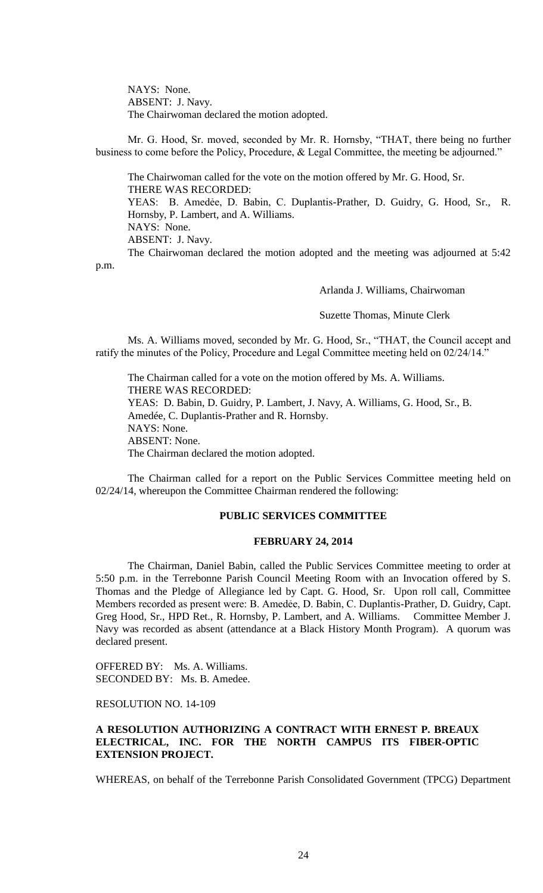NAYS: None. ABSENT: J. Navy. The Chairwoman declared the motion adopted.

Mr. G. Hood, Sr. moved, seconded by Mr. R. Hornsby, "THAT, there being no further business to come before the Policy, Procedure, & Legal Committee, the meeting be adjourned."

The Chairwoman called for the vote on the motion offered by Mr. G. Hood, Sr. THERE WAS RECORDED: YEAS: B. Amedẻe, D. Babin, C. Duplantis-Prather, D. Guidry, G. Hood, Sr., R. Hornsby, P. Lambert, and A. Williams. NAYS: None. ABSENT: J. Navy. The Chairwoman declared the motion adopted and the meeting was adjourned at 5:42

p.m.

Arlanda J. Williams, Chairwoman

Suzette Thomas, Minute Clerk

Ms. A. Williams moved, seconded by Mr. G. Hood, Sr., "THAT, the Council accept and ratify the minutes of the Policy, Procedure and Legal Committee meeting held on 02/24/14."

The Chairman called for a vote on the motion offered by Ms. A. Williams. THERE WAS RECORDED: YEAS: D. Babin, D. Guidry, P. Lambert, J. Navy, A. Williams, G. Hood, Sr., B. Amedée, C. Duplantis-Prather and R. Hornsby. NAYS: None. ABSENT: None. The Chairman declared the motion adopted.

The Chairman called for a report on the Public Services Committee meeting held on 02/24/14, whereupon the Committee Chairman rendered the following:

## **PUBLIC SERVICES COMMITTEE**

#### **FEBRUARY 24, 2014**

The Chairman, Daniel Babin, called the Public Services Committee meeting to order at 5:50 p.m. in the Terrebonne Parish Council Meeting Room with an Invocation offered by S. Thomas and the Pledge of Allegiance led by Capt. G. Hood, Sr. Upon roll call, Committee Members recorded as present were: B. Amedée, D. Babin, C. Duplantis-Prather, D. Guidry, Capt. Greg Hood, Sr., HPD Ret., R. Hornsby, P. Lambert, and A. Williams. Committee Member J. Navy was recorded as absent (attendance at a Black History Month Program). A quorum was declared present.

OFFERED BY: Ms. A. Williams. SECONDED BY: Ms. B. Amedee.

RESOLUTION NO. 14-109

# **A RESOLUTION AUTHORIZING A CONTRACT WITH ERNEST P. BREAUX ELECTRICAL, INC. FOR THE NORTH CAMPUS ITS FIBER-OPTIC EXTENSION PROJECT.**

WHEREAS, on behalf of the Terrebonne Parish Consolidated Government (TPCG) Department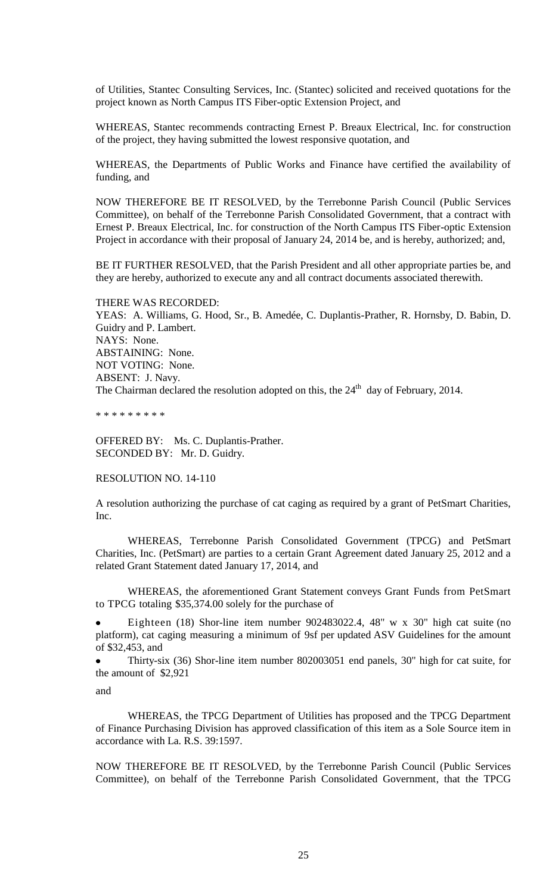of Utilities, Stantec Consulting Services, Inc. (Stantec) solicited and received quotations for the project known as North Campus ITS Fiber-optic Extension Project, and

WHEREAS, Stantec recommends contracting Ernest P. Breaux Electrical, Inc. for construction of the project, they having submitted the lowest responsive quotation, and

WHEREAS, the Departments of Public Works and Finance have certified the availability of funding, and

NOW THEREFORE BE IT RESOLVED, by the Terrebonne Parish Council (Public Services Committee), on behalf of the Terrebonne Parish Consolidated Government, that a contract with Ernest P. Breaux Electrical, Inc. for construction of the North Campus ITS Fiber-optic Extension Project in accordance with their proposal of January 24, 2014 be, and is hereby, authorized; and,

BE IT FURTHER RESOLVED, that the Parish President and all other appropriate parties be, and they are hereby, authorized to execute any and all contract documents associated therewith.

THERE WAS RECORDED: YEAS: A. Williams, G. Hood, Sr., B. Amedée, C. Duplantis-Prather, R. Hornsby, D. Babin, D. Guidry and P. Lambert. NAYS: None. ABSTAINING: None. NOT VOTING: None. ABSENT: J. Navy. The Chairman declared the resolution adopted on this, the  $24<sup>th</sup>$  day of February, 2014.

\* \* \* \* \* \* \* \* \*

OFFERED BY: Ms. C. Duplantis-Prather. SECONDED BY: Mr. D. Guidry.

#### RESOLUTION NO. 14-110

A resolution authorizing the purchase of cat caging as required by a grant of PetSmart Charities, Inc.

WHEREAS, Terrebonne Parish Consolidated Government (TPCG) and PetSmart Charities, Inc. (PetSmart) are parties to a certain Grant Agreement dated January 25, 2012 and a related Grant Statement dated January 17, 2014, and

WHEREAS, the aforementioned Grant Statement conveys Grant Funds from PetSmart to TPCG totaling \$35,374.00 solely for the purchase of

Eighteen (18) Shor-line item number 902483022.4, 48" w x 30" high cat suite (no platform), cat caging measuring a minimum of 9sf per updated ASV Guidelines for the amount of \$32,453, and

Thirty-six (36) Shor-line item number 802003051 end panels, 30" high for cat suite, for the amount of \$2,921

and

WHEREAS, the TPCG Department of Utilities has proposed and the TPCG Department of Finance Purchasing Division has approved classification of this item as a Sole Source item in accordance with La. R.S. 39:1597.

NOW THEREFORE BE IT RESOLVED, by the Terrebonne Parish Council (Public Services Committee), on behalf of the Terrebonne Parish Consolidated Government, that the TPCG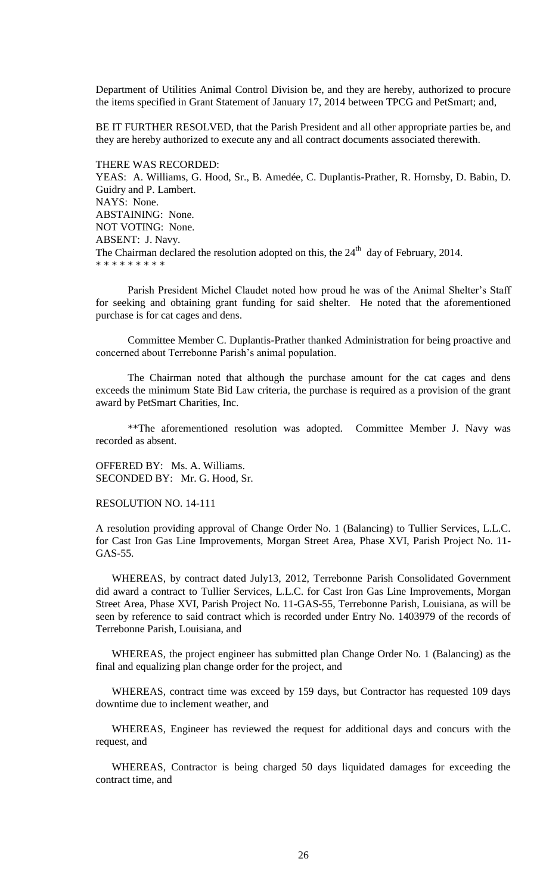Department of Utilities Animal Control Division be, and they are hereby, authorized to procure the items specified in Grant Statement of January 17, 2014 between TPCG and PetSmart; and,

BE IT FURTHER RESOLVED, that the Parish President and all other appropriate parties be, and they are hereby authorized to execute any and all contract documents associated therewith.

THERE WAS RECORDED: YEAS: A. Williams, G. Hood, Sr., B. Amedée, C. Duplantis-Prather, R. Hornsby, D. Babin, D. Guidry and P. Lambert. NAYS: None. ABSTAINING: None. NOT VOTING: None. ABSENT: J. Navy. The Chairman declared the resolution adopted on this, the  $24<sup>th</sup>$  day of February, 2014. \* \* \* \* \* \* \* \* \*

Parish President Michel Claudet noted how proud he was of the Animal Shelter's Staff for seeking and obtaining grant funding for said shelter. He noted that the aforementioned purchase is for cat cages and dens.

Committee Member C. Duplantis-Prather thanked Administration for being proactive and concerned about Terrebonne Parish's animal population.

The Chairman noted that although the purchase amount for the cat cages and dens exceeds the minimum State Bid Law criteria, the purchase is required as a provision of the grant award by PetSmart Charities, Inc.

\*\*The aforementioned resolution was adopted. Committee Member J. Navy was recorded as absent.

OFFERED BY: Ms. A. Williams. SECONDED BY: Mr. G. Hood, Sr.

RESOLUTION NO. 14-111

A resolution providing approval of Change Order No. 1 (Balancing) to Tullier Services, L.L.C. for Cast Iron Gas Line Improvements, Morgan Street Area, Phase XVI, Parish Project No. 11- GAS-55.

WHEREAS, by contract dated July13, 2012, Terrebonne Parish Consolidated Government did award a contract to Tullier Services, L.L.C. for Cast Iron Gas Line Improvements, Morgan Street Area, Phase XVI, Parish Project No. 11-GAS-55, Terrebonne Parish, Louisiana, as will be seen by reference to said contract which is recorded under Entry No. 1403979 of the records of Terrebonne Parish, Louisiana, and

WHEREAS, the project engineer has submitted plan Change Order No. 1 (Balancing) as the final and equalizing plan change order for the project, and

WHEREAS, contract time was exceed by 159 days, but Contractor has requested 109 days downtime due to inclement weather, and

WHEREAS, Engineer has reviewed the request for additional days and concurs with the request, and

WHEREAS, Contractor is being charged 50 days liquidated damages for exceeding the contract time, and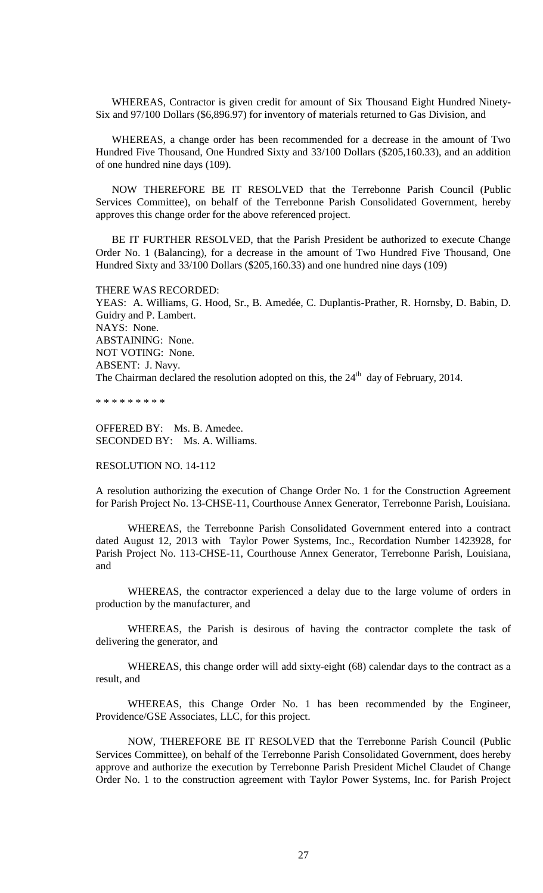WHEREAS, Contractor is given credit for amount of Six Thousand Eight Hundred Ninety-Six and 97/100 Dollars (\$6,896.97) for inventory of materials returned to Gas Division, and

WHEREAS, a change order has been recommended for a decrease in the amount of Two Hundred Five Thousand, One Hundred Sixty and 33/100 Dollars (\$205,160.33), and an addition of one hundred nine days (109).

NOW THEREFORE BE IT RESOLVED that the Terrebonne Parish Council (Public Services Committee), on behalf of the Terrebonne Parish Consolidated Government, hereby approves this change order for the above referenced project.

BE IT FURTHER RESOLVED, that the Parish President be authorized to execute Change Order No. 1 (Balancing), for a decrease in the amount of Two Hundred Five Thousand, One Hundred Sixty and 33/100 Dollars (\$205,160.33) and one hundred nine days (109)

#### THERE WAS RECORDED:

YEAS: A. Williams, G. Hood, Sr., B. Amedée, C. Duplantis-Prather, R. Hornsby, D. Babin, D. Guidry and P. Lambert. NAYS: None. ABSTAINING: None. NOT VOTING: None. ABSENT: J. Navy. The Chairman declared the resolution adopted on this, the  $24<sup>th</sup>$  day of February, 2014.

\* \* \* \* \* \* \* \* \*

OFFERED BY: Ms. B. Amedee. SECONDED BY: Ms. A. Williams.

RESOLUTION NO. 14-112

A resolution authorizing the execution of Change Order No. 1 for the Construction Agreement for Parish Project No. 13-CHSE-11, Courthouse Annex Generator, Terrebonne Parish, Louisiana.

WHEREAS, the Terrebonne Parish Consolidated Government entered into a contract dated August 12, 2013 with Taylor Power Systems, Inc., Recordation Number 1423928, for Parish Project No. 113-CHSE-11, Courthouse Annex Generator, Terrebonne Parish, Louisiana, and

WHEREAS, the contractor experienced a delay due to the large volume of orders in production by the manufacturer, and

WHEREAS, the Parish is desirous of having the contractor complete the task of delivering the generator, and

WHEREAS, this change order will add sixty-eight (68) calendar days to the contract as a result, and

WHEREAS, this Change Order No. 1 has been recommended by the Engineer, Providence/GSE Associates, LLC, for this project.

NOW, THEREFORE BE IT RESOLVED that the Terrebonne Parish Council (Public Services Committee), on behalf of the Terrebonne Parish Consolidated Government, does hereby approve and authorize the execution by Terrebonne Parish President Michel Claudet of Change Order No. 1 to the construction agreement with Taylor Power Systems, Inc. for Parish Project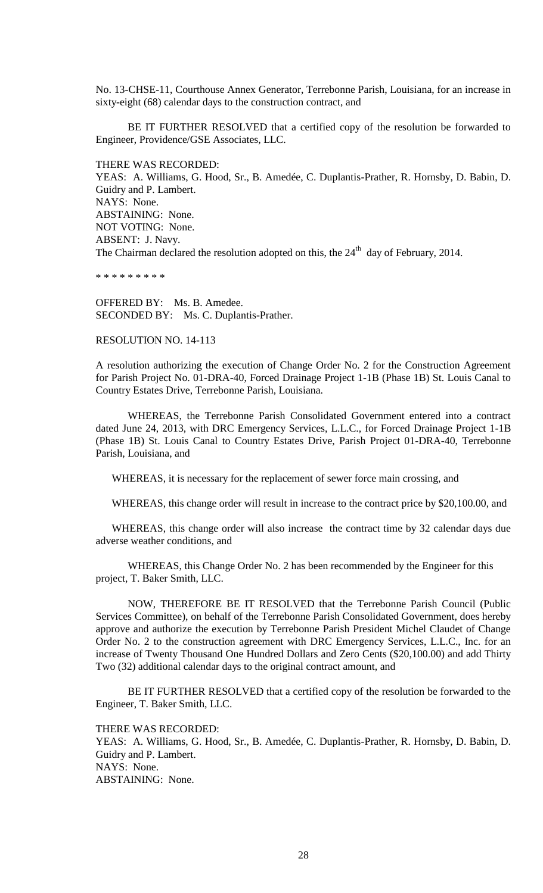No. 13-CHSE-11, Courthouse Annex Generator, Terrebonne Parish, Louisiana, for an increase in sixty-eight (68) calendar days to the construction contract, and

BE IT FURTHER RESOLVED that a certified copy of the resolution be forwarded to Engineer, Providence/GSE Associates, LLC.

THERE WAS RECORDED:

YEAS: A. Williams, G. Hood, Sr., B. Amedée, C. Duplantis-Prather, R. Hornsby, D. Babin, D. Guidry and P. Lambert. NAYS: None. ABSTAINING: None. NOT VOTING: None. ABSENT: J. Navy. The Chairman declared the resolution adopted on this, the  $24<sup>th</sup>$  day of February, 2014.

\* \* \* \* \* \* \* \* \*

OFFERED BY: Ms. B. Amedee. SECONDED BY: Ms. C. Duplantis-Prather.

## RESOLUTION NO. 14-113

A resolution authorizing the execution of Change Order No. 2 for the Construction Agreement for Parish Project No. 01-DRA-40, Forced Drainage Project 1-1B (Phase 1B) St. Louis Canal to Country Estates Drive, Terrebonne Parish, Louisiana.

WHEREAS, the Terrebonne Parish Consolidated Government entered into a contract dated June 24, 2013, with DRC Emergency Services, L.L.C., for Forced Drainage Project 1-1B (Phase 1B) St. Louis Canal to Country Estates Drive, Parish Project 01-DRA-40, Terrebonne Parish, Louisiana, and

WHEREAS, it is necessary for the replacement of sewer force main crossing, and

WHEREAS, this change order will result in increase to the contract price by \$20,100.00, and

WHEREAS, this change order will also increase the contract time by 32 calendar days due adverse weather conditions, and

WHEREAS, this Change Order No. 2 has been recommended by the Engineer for this project, T. Baker Smith, LLC.

NOW, THEREFORE BE IT RESOLVED that the Terrebonne Parish Council (Public Services Committee), on behalf of the Terrebonne Parish Consolidated Government, does hereby approve and authorize the execution by Terrebonne Parish President Michel Claudet of Change Order No. 2 to the construction agreement with DRC Emergency Services, L.L.C., Inc. for an increase of Twenty Thousand One Hundred Dollars and Zero Cents (\$20,100.00) and add Thirty Two (32) additional calendar days to the original contract amount, and

BE IT FURTHER RESOLVED that a certified copy of the resolution be forwarded to the Engineer, T. Baker Smith, LLC.

THERE WAS RECORDED:

YEAS: A. Williams, G. Hood, Sr., B. Amedée, C. Duplantis-Prather, R. Hornsby, D. Babin, D. Guidry and P. Lambert. NAYS: None. ABSTAINING: None.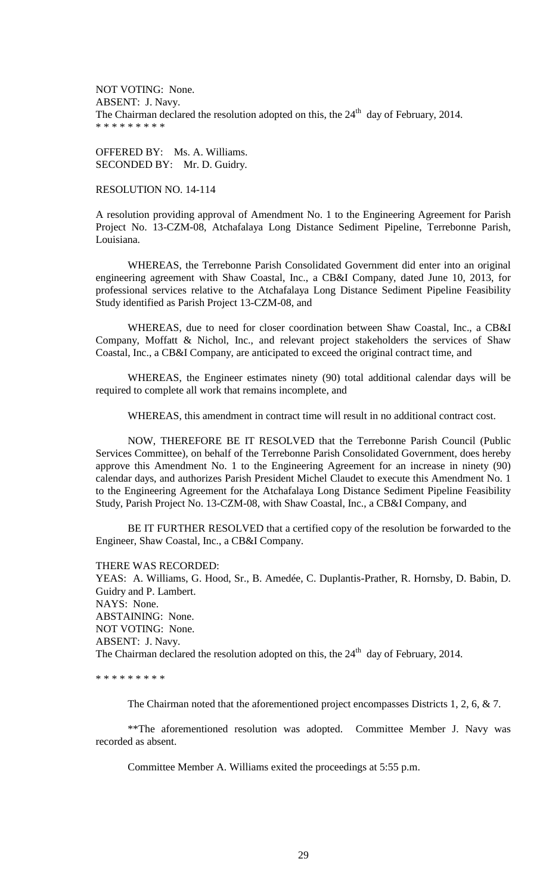NOT VOTING: None. ABSENT: J. Navy. The Chairman declared the resolution adopted on this, the  $24<sup>th</sup>$  day of February, 2014. \* \* \* \* \* \* \* \* \*

OFFERED BY: Ms. A. Williams. SECONDED BY: Mr. D. Guidry.

RESOLUTION NO. 14-114

A resolution providing approval of Amendment No. 1 to the Engineering Agreement for Parish Project No. 13-CZM-08, Atchafalaya Long Distance Sediment Pipeline, Terrebonne Parish, Louisiana.

WHEREAS, the Terrebonne Parish Consolidated Government did enter into an original engineering agreement with Shaw Coastal, Inc., a CB&I Company, dated June 10, 2013, for professional services relative to the Atchafalaya Long Distance Sediment Pipeline Feasibility Study identified as Parish Project 13-CZM-08, and

WHEREAS, due to need for closer coordination between Shaw Coastal, Inc., a CB&I Company, Moffatt & Nichol, Inc., and relevant project stakeholders the services of Shaw Coastal, Inc., a CB&I Company, are anticipated to exceed the original contract time, and

WHEREAS, the Engineer estimates ninety (90) total additional calendar days will be required to complete all work that remains incomplete, and

WHEREAS, this amendment in contract time will result in no additional contract cost.

NOW, THEREFORE BE IT RESOLVED that the Terrebonne Parish Council (Public Services Committee), on behalf of the Terrebonne Parish Consolidated Government, does hereby approve this Amendment No. 1 to the Engineering Agreement for an increase in ninety (90) calendar days, and authorizes Parish President Michel Claudet to execute this Amendment No. 1 to the Engineering Agreement for the Atchafalaya Long Distance Sediment Pipeline Feasibility Study, Parish Project No. 13-CZM-08, with Shaw Coastal, Inc., a CB&I Company, and

BE IT FURTHER RESOLVED that a certified copy of the resolution be forwarded to the Engineer, Shaw Coastal, Inc., a CB&I Company.

THERE WAS RECORDED:

YEAS: A. Williams, G. Hood, Sr., B. Amedée, C. Duplantis-Prather, R. Hornsby, D. Babin, D. Guidry and P. Lambert. NAYS: None. ABSTAINING: None. NOT VOTING: None. ABSENT: J. Navy. The Chairman declared the resolution adopted on this, the  $24<sup>th</sup>$  day of February, 2014.

\* \* \* \* \* \* \* \* \*

The Chairman noted that the aforementioned project encompasses Districts 1, 2, 6, & 7.

\*\*The aforementioned resolution was adopted. Committee Member J. Navy was recorded as absent.

Committee Member A. Williams exited the proceedings at 5:55 p.m.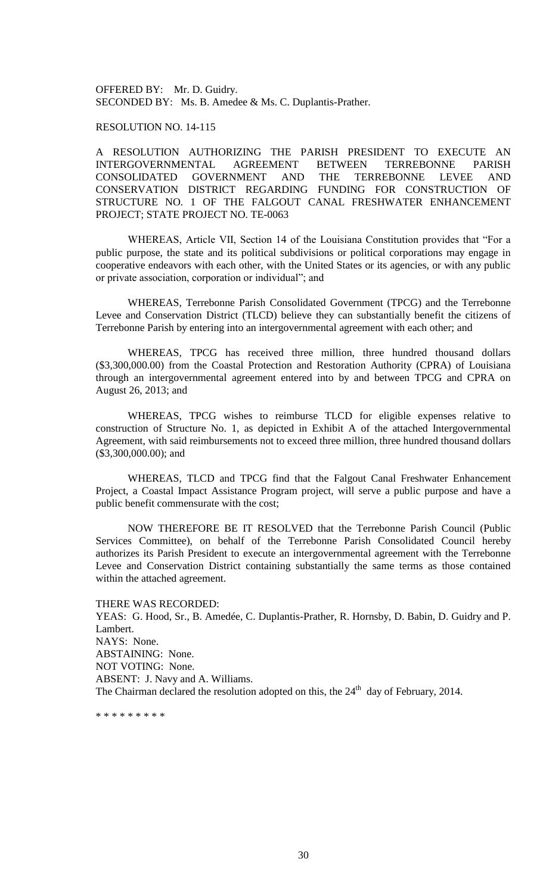OFFERED BY: Mr. D. Guidry. SECONDED BY: Ms. B. Amedee & Ms. C. Duplantis-Prather.

## RESOLUTION NO. 14-115

A RESOLUTION AUTHORIZING THE PARISH PRESIDENT TO EXECUTE AN INTERGOVERNMENTAL AGREEMENT BETWEEN TERREBONNE PARISH CONSOLIDATED GOVERNMENT AND THE TERREBONNE LEVEE AND CONSERVATION DISTRICT REGARDING FUNDING FOR CONSTRUCTION OF STRUCTURE NO. 1 OF THE FALGOUT CANAL FRESHWATER ENHANCEMENT PROJECT; STATE PROJECT NO. TE-0063

WHEREAS, Article VII, Section 14 of the Louisiana Constitution provides that "For a public purpose, the state and its political subdivisions or political corporations may engage in cooperative endeavors with each other, with the United States or its agencies, or with any public or private association, corporation or individual"; and

WHEREAS, Terrebonne Parish Consolidated Government (TPCG) and the Terrebonne Levee and Conservation District (TLCD) believe they can substantially benefit the citizens of Terrebonne Parish by entering into an intergovernmental agreement with each other; and

WHEREAS, TPCG has received three million, three hundred thousand dollars (\$3,300,000.00) from the Coastal Protection and Restoration Authority (CPRA) of Louisiana through an intergovernmental agreement entered into by and between TPCG and CPRA on August 26, 2013; and

WHEREAS, TPCG wishes to reimburse TLCD for eligible expenses relative to construction of Structure No. 1, as depicted in Exhibit A of the attached Intergovernmental Agreement, with said reimbursements not to exceed three million, three hundred thousand dollars (\$3,300,000.00); and

WHEREAS, TLCD and TPCG find that the Falgout Canal Freshwater Enhancement Project, a Coastal Impact Assistance Program project, will serve a public purpose and have a public benefit commensurate with the cost;

NOW THEREFORE BE IT RESOLVED that the Terrebonne Parish Council (Public Services Committee), on behalf of the Terrebonne Parish Consolidated Council hereby authorizes its Parish President to execute an intergovernmental agreement with the Terrebonne Levee and Conservation District containing substantially the same terms as those contained within the attached agreement.

THERE WAS RECORDED: YEAS: G. Hood, Sr., B. Amedée, C. Duplantis-Prather, R. Hornsby, D. Babin, D. Guidry and P. Lambert. NAYS: None. ABSTAINING: None. NOT VOTING: None. ABSENT: J. Navy and A. Williams. The Chairman declared the resolution adopted on this, the  $24<sup>th</sup>$  day of February, 2014.

\* \* \* \* \* \* \* \* \*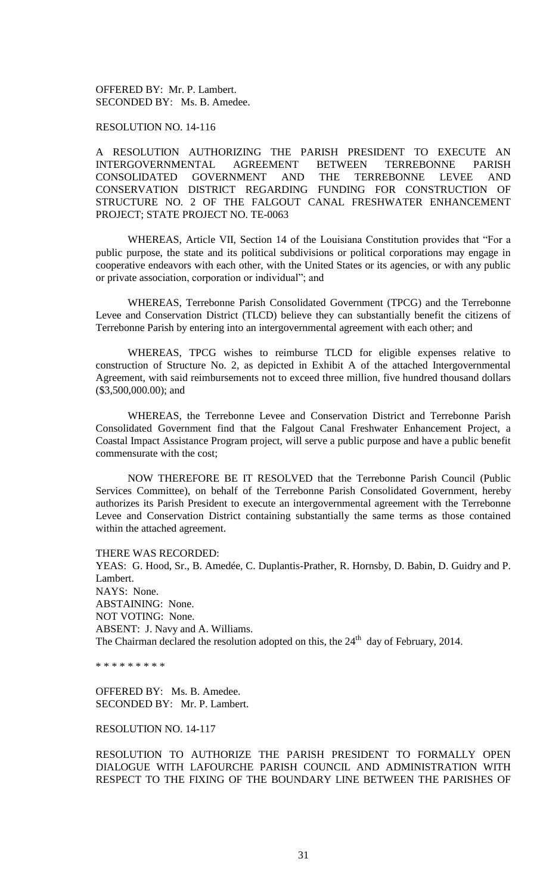OFFERED BY: Mr. P. Lambert. SECONDED BY: Ms. B. Amedee.

RESOLUTION NO. 14-116

A RESOLUTION AUTHORIZING THE PARISH PRESIDENT TO EXECUTE AN INTERGOVERNMENTAL AGREEMENT BETWEEN TERREBONNE PARISH CONSOLIDATED GOVERNMENT AND THE TERREBONNE LEVEE AND CONSERVATION DISTRICT REGARDING FUNDING FOR CONSTRUCTION OF STRUCTURE NO. 2 OF THE FALGOUT CANAL FRESHWATER ENHANCEMENT PROJECT; STATE PROJECT NO. TE-0063

WHEREAS, Article VII, Section 14 of the Louisiana Constitution provides that "For a public purpose, the state and its political subdivisions or political corporations may engage in cooperative endeavors with each other, with the United States or its agencies, or with any public or private association, corporation or individual"; and

WHEREAS, Terrebonne Parish Consolidated Government (TPCG) and the Terrebonne Levee and Conservation District (TLCD) believe they can substantially benefit the citizens of Terrebonne Parish by entering into an intergovernmental agreement with each other; and

WHEREAS, TPCG wishes to reimburse TLCD for eligible expenses relative to construction of Structure No. 2, as depicted in Exhibit A of the attached Intergovernmental Agreement, with said reimbursements not to exceed three million, five hundred thousand dollars (\$3,500,000.00); and

WHEREAS, the Terrebonne Levee and Conservation District and Terrebonne Parish Consolidated Government find that the Falgout Canal Freshwater Enhancement Project, a Coastal Impact Assistance Program project, will serve a public purpose and have a public benefit commensurate with the cost;

NOW THEREFORE BE IT RESOLVED that the Terrebonne Parish Council (Public Services Committee), on behalf of the Terrebonne Parish Consolidated Government, hereby authorizes its Parish President to execute an intergovernmental agreement with the Terrebonne Levee and Conservation District containing substantially the same terms as those contained within the attached agreement.

THERE WAS RECORDED:

YEAS: G. Hood, Sr., B. Amedée, C. Duplantis-Prather, R. Hornsby, D. Babin, D. Guidry and P. Lambert. NAYS: None. ABSTAINING: None. NOT VOTING: None. ABSENT: J. Navy and A. Williams. The Chairman declared the resolution adopted on this, the  $24<sup>th</sup>$  day of February, 2014.

\* \* \* \* \* \* \* \* \*

OFFERED BY: Ms. B. Amedee. SECONDED BY: Mr. P. Lambert.

RESOLUTION NO. 14-117

RESOLUTION TO AUTHORIZE THE PARISH PRESIDENT TO FORMALLY OPEN DIALOGUE WITH LAFOURCHE PARISH COUNCIL AND ADMINISTRATION WITH RESPECT TO THE FIXING OF THE BOUNDARY LINE BETWEEN THE PARISHES OF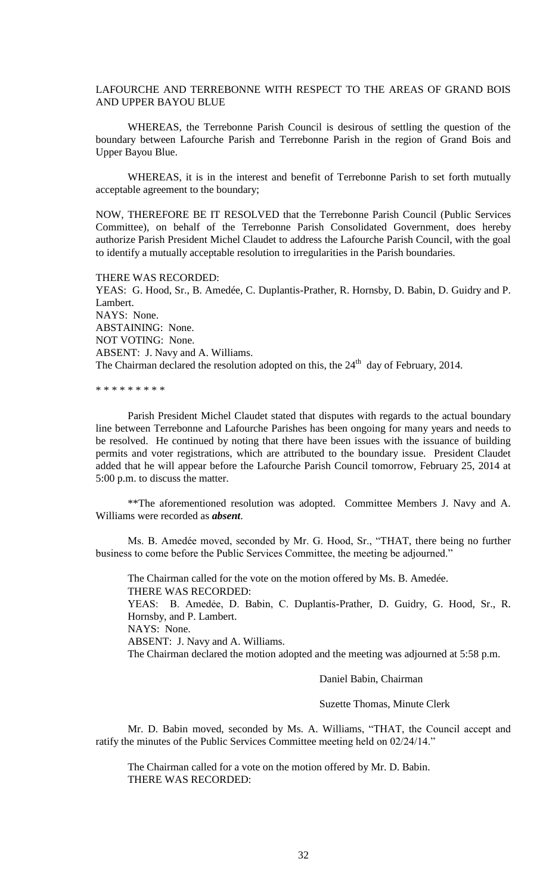# LAFOURCHE AND TERREBONNE WITH RESPECT TO THE AREAS OF GRAND BOIS AND UPPER BAYOU BLUE

WHEREAS, the Terrebonne Parish Council is desirous of settling the question of the boundary between Lafourche Parish and Terrebonne Parish in the region of Grand Bois and Upper Bayou Blue.

WHEREAS, it is in the interest and benefit of Terrebonne Parish to set forth mutually acceptable agreement to the boundary;

NOW, THEREFORE BE IT RESOLVED that the Terrebonne Parish Council (Public Services Committee), on behalf of the Terrebonne Parish Consolidated Government, does hereby authorize Parish President Michel Claudet to address the Lafourche Parish Council, with the goal to identify a mutually acceptable resolution to irregularities in the Parish boundaries.

THERE WAS RECORDED:

YEAS: G. Hood, Sr., B. Amedée, C. Duplantis-Prather, R. Hornsby, D. Babin, D. Guidry and P. Lambert. NAYS: None. ABSTAINING: None. NOT VOTING: None. ABSENT: J. Navy and A. Williams. The Chairman declared the resolution adopted on this, the  $24<sup>th</sup>$  day of February, 2014.

\* \* \* \* \* \* \* \* \*

Parish President Michel Claudet stated that disputes with regards to the actual boundary line between Terrebonne and Lafourche Parishes has been ongoing for many years and needs to be resolved. He continued by noting that there have been issues with the issuance of building permits and voter registrations, which are attributed to the boundary issue. President Claudet added that he will appear before the Lafourche Parish Council tomorrow, February 25, 2014 at 5:00 p.m. to discuss the matter.

\*\*The aforementioned resolution was adopted. Committee Members J. Navy and A. Williams were recorded as *absent*.

Ms. B. Amedée moved, seconded by Mr. G. Hood, Sr., "THAT, there being no further business to come before the Public Services Committee, the meeting be adjourned."

The Chairman called for the vote on the motion offered by Ms. B. Amedée. THERE WAS RECORDED: YEAS: B. Amedẻe, D. Babin, C. Duplantis-Prather, D. Guidry, G. Hood, Sr., R. Hornsby, and P. Lambert.

NAYS: None.

ABSENT: J. Navy and A. Williams.

The Chairman declared the motion adopted and the meeting was adjourned at 5:58 p.m.

Daniel Babin, Chairman

Suzette Thomas, Minute Clerk

Mr. D. Babin moved, seconded by Ms. A. Williams, "THAT, the Council accept and ratify the minutes of the Public Services Committee meeting held on 02/24/14."

The Chairman called for a vote on the motion offered by Mr. D. Babin. THERE WAS RECORDED: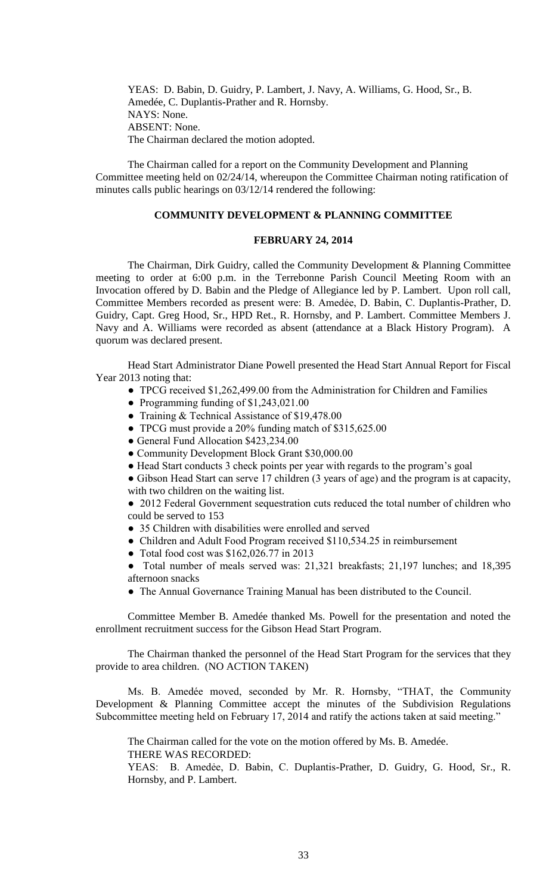YEAS: D. Babin, D. Guidry, P. Lambert, J. Navy, A. Williams, G. Hood, Sr., B. Amedée, C. Duplantis-Prather and R. Hornsby. NAYS: None. ABSENT: None. The Chairman declared the motion adopted.

The Chairman called for a report on the Community Development and Planning Committee meeting held on 02/24/14, whereupon the Committee Chairman noting ratification of minutes calls public hearings on 03/12/14 rendered the following:

# **COMMUNITY DEVELOPMENT & PLANNING COMMITTEE**

#### **FEBRUARY 24, 2014**

The Chairman, Dirk Guidry, called the Community Development & Planning Committee meeting to order at 6:00 p.m. in the Terrebonne Parish Council Meeting Room with an Invocation offered by D. Babin and the Pledge of Allegiance led by P. Lambert. Upon roll call, Committee Members recorded as present were: B. Amedẻe, D. Babin, C. Duplantis-Prather, D. Guidry, Capt. Greg Hood, Sr., HPD Ret., R. Hornsby, and P. Lambert. Committee Members J. Navy and A. Williams were recorded as absent (attendance at a Black History Program). A quorum was declared present.

Head Start Administrator Diane Powell presented the Head Start Annual Report for Fiscal Year 2013 noting that:

- TPCG received \$1,262,499.00 from the Administration for Children and Families
- Programming funding of \$1,243,021.00
- Training & Technical Assistance of \$19,478.00
- TPCG must provide a 20% funding match of \$315,625.00
- General Fund Allocation \$423,234.00
- Community Development Block Grant \$30,000.00
- Head Start conducts 3 check points per year with regards to the program's goal

● Gibson Head Start can serve 17 children (3 years of age) and the program is at capacity, with two children on the waiting list.

• 2012 Federal Government sequestration cuts reduced the total number of children who could be served to 153

- 35 Children with disabilities were enrolled and served
- Children and Adult Food Program received \$110,534.25 in reimbursement
- Total food cost was \$162,026.77 in 2013

Total number of meals served was: 21,321 breakfasts; 21,197 lunches; and 18,395 afternoon snacks

● The Annual Governance Training Manual has been distributed to the Council.

Committee Member B. Amedée thanked Ms. Powell for the presentation and noted the enrollment recruitment success for the Gibson Head Start Program.

The Chairman thanked the personnel of the Head Start Program for the services that they provide to area children. (NO ACTION TAKEN)

Ms. B. Amedée moved, seconded by Mr. R. Hornsby, "THAT, the Community Development & Planning Committee accept the minutes of the Subdivision Regulations Subcommittee meeting held on February 17, 2014 and ratify the actions taken at said meeting."

The Chairman called for the vote on the motion offered by Ms. B. Amedée. THERE WAS RECORDED:

YEAS: B. Amedẻe, D. Babin, C. Duplantis-Prather, D. Guidry, G. Hood, Sr., R. Hornsby, and P. Lambert.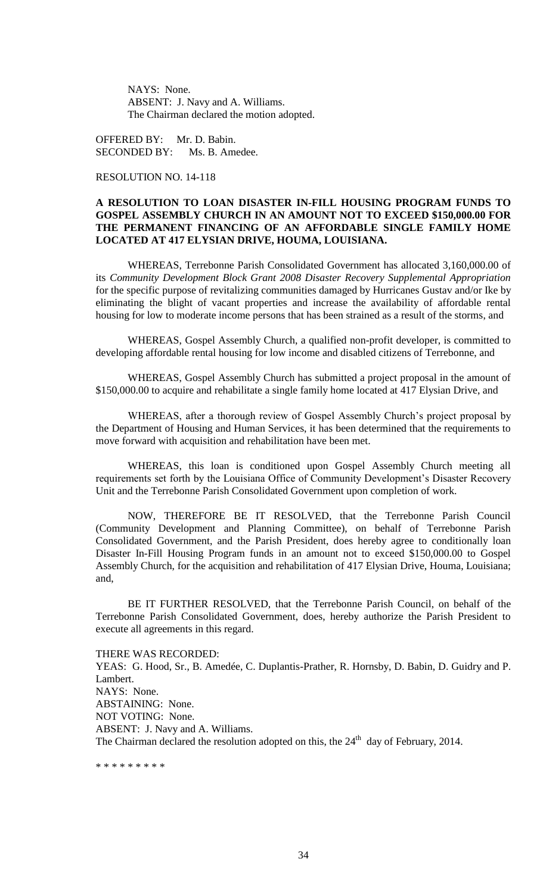NAYS: None. ABSENT: J. Navy and A. Williams. The Chairman declared the motion adopted.

OFFERED BY: Mr. D. Babin. SECONDED BY: Ms. B. Amedee.

# RESOLUTION NO. 14-118

# **A RESOLUTION TO LOAN DISASTER IN-FILL HOUSING PROGRAM FUNDS TO GOSPEL ASSEMBLY CHURCH IN AN AMOUNT NOT TO EXCEED \$150,000.00 FOR THE PERMANENT FINANCING OF AN AFFORDABLE SINGLE FAMILY HOME LOCATED AT 417 ELYSIAN DRIVE, HOUMA, LOUISIANA.**

WHEREAS, Terrebonne Parish Consolidated Government has allocated 3,160,000.00 of its *Community Development Block Grant 2008 Disaster Recovery Supplemental Appropriation* for the specific purpose of revitalizing communities damaged by Hurricanes Gustav and/or Ike by eliminating the blight of vacant properties and increase the availability of affordable rental housing for low to moderate income persons that has been strained as a result of the storms, and

WHEREAS, Gospel Assembly Church, a qualified non-profit developer, is committed to developing affordable rental housing for low income and disabled citizens of Terrebonne, and

WHEREAS, Gospel Assembly Church has submitted a project proposal in the amount of \$150,000.00 to acquire and rehabilitate a single family home located at 417 Elysian Drive, and

WHEREAS, after a thorough review of Gospel Assembly Church's project proposal by the Department of Housing and Human Services, it has been determined that the requirements to move forward with acquisition and rehabilitation have been met.

WHEREAS, this loan is conditioned upon Gospel Assembly Church meeting all requirements set forth by the Louisiana Office of Community Development's Disaster Recovery Unit and the Terrebonne Parish Consolidated Government upon completion of work.

NOW, THEREFORE BE IT RESOLVED, that the Terrebonne Parish Council (Community Development and Planning Committee), on behalf of Terrebonne Parish Consolidated Government, and the Parish President, does hereby agree to conditionally loan Disaster In-Fill Housing Program funds in an amount not to exceed \$150,000.00 to Gospel Assembly Church, for the acquisition and rehabilitation of 417 Elysian Drive, Houma, Louisiana; and,

BE IT FURTHER RESOLVED, that the Terrebonne Parish Council, on behalf of the Terrebonne Parish Consolidated Government, does, hereby authorize the Parish President to execute all agreements in this regard.

THERE WAS RECORDED: YEAS: G. Hood, Sr., B. Amedée, C. Duplantis-Prather, R. Hornsby, D. Babin, D. Guidry and P. Lambert. NAYS: None. ABSTAINING: None. NOT VOTING: None. ABSENT: J. Navy and A. Williams. The Chairman declared the resolution adopted on this, the  $24<sup>th</sup>$  day of February, 2014.

\* \* \* \* \* \* \* \* \*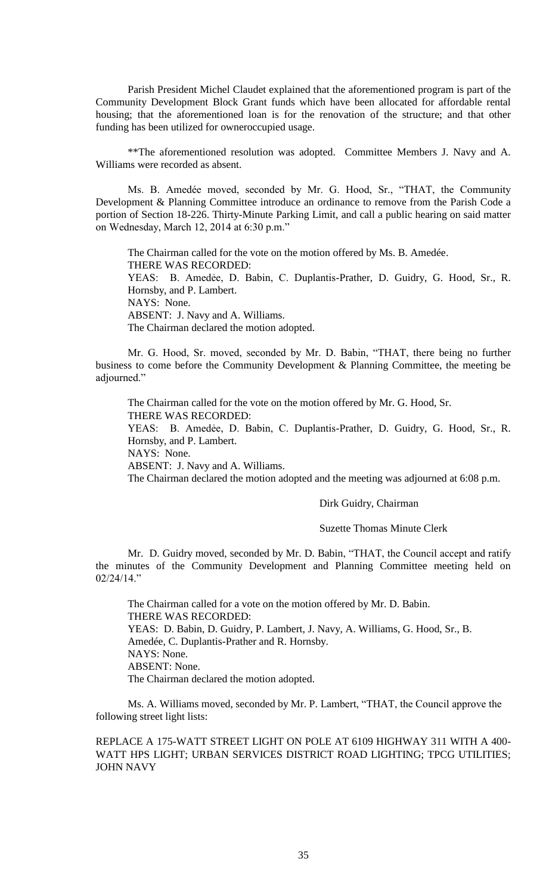Parish President Michel Claudet explained that the aforementioned program is part of the Community Development Block Grant funds which have been allocated for affordable rental housing; that the aforementioned loan is for the renovation of the structure; and that other funding has been utilized for owneroccupied usage.

\*\*The aforementioned resolution was adopted. Committee Members J. Navy and A. Williams were recorded as absent.

Ms. B. Amedée moved, seconded by Mr. G. Hood, Sr., "THAT, the Community Development & Planning Committee introduce an ordinance to remove from the Parish Code a portion of Section 18-226. Thirty-Minute Parking Limit, and call a public hearing on said matter on Wednesday, March 12, 2014 at 6:30 p.m."

The Chairman called for the vote on the motion offered by Ms. B. Amedée. THERE WAS RECORDED: YEAS: B. Amedẻe, D. Babin, C. Duplantis-Prather, D. Guidry, G. Hood, Sr., R. Hornsby, and P. Lambert. NAYS: None. ABSENT: J. Navy and A. Williams. The Chairman declared the motion adopted.

Mr. G. Hood, Sr. moved, seconded by Mr. D. Babin, "THAT, there being no further business to come before the Community Development & Planning Committee, the meeting be adjourned."

The Chairman called for the vote on the motion offered by Mr. G. Hood, Sr. THERE WAS RECORDED:

YEAS: B. Amedẻe, D. Babin, C. Duplantis-Prather, D. Guidry, G. Hood, Sr., R. Hornsby, and P. Lambert.

NAYS: None.

ABSENT: J. Navy and A. Williams.

The Chairman declared the motion adopted and the meeting was adjourned at 6:08 p.m.

## Dirk Guidry, Chairman

## Suzette Thomas Minute Clerk

Mr. D. Guidry moved, seconded by Mr. D. Babin, "THAT, the Council accept and ratify the minutes of the Community Development and Planning Committee meeting held on  $02/24/14$ "

The Chairman called for a vote on the motion offered by Mr. D. Babin. THERE WAS RECORDED: YEAS: D. Babin, D. Guidry, P. Lambert, J. Navy, A. Williams, G. Hood, Sr., B. Amedée, C. Duplantis-Prather and R. Hornsby. NAYS: None. ABSENT: None. The Chairman declared the motion adopted.

Ms. A. Williams moved, seconded by Mr. P. Lambert, "THAT, the Council approve the following street light lists:

REPLACE A 175-WATT STREET LIGHT ON POLE AT 6109 HIGHWAY 311 WITH A 400- WATT HPS LIGHT; URBAN SERVICES DISTRICT ROAD LIGHTING; TPCG UTILITIES; JOHN NAVY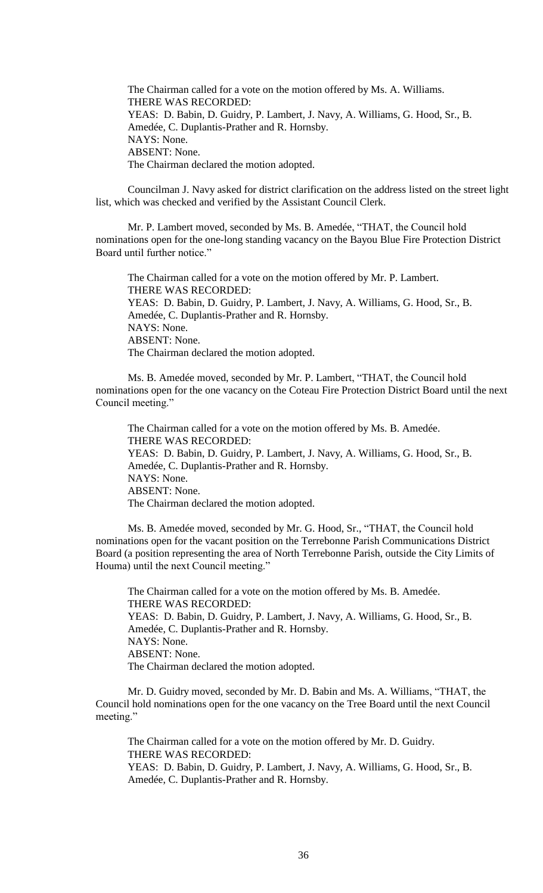The Chairman called for a vote on the motion offered by Ms. A. Williams. THERE WAS RECORDED: YEAS: D. Babin, D. Guidry, P. Lambert, J. Navy, A. Williams, G. Hood, Sr., B. Amedée, C. Duplantis-Prather and R. Hornsby. NAYS: None. ABSENT: None. The Chairman declared the motion adopted.

Councilman J. Navy asked for district clarification on the address listed on the street light list, which was checked and verified by the Assistant Council Clerk.

Mr. P. Lambert moved, seconded by Ms. B. Amedée, "THAT, the Council hold nominations open for the one-long standing vacancy on the Bayou Blue Fire Protection District Board until further notice."

The Chairman called for a vote on the motion offered by Mr. P. Lambert. THERE WAS RECORDED: YEAS: D. Babin, D. Guidry, P. Lambert, J. Navy, A. Williams, G. Hood, Sr., B. Amedée, C. Duplantis-Prather and R. Hornsby. NAYS: None. ABSENT: None. The Chairman declared the motion adopted.

Ms. B. Amedée moved, seconded by Mr. P. Lambert, "THAT, the Council hold nominations open for the one vacancy on the Coteau Fire Protection District Board until the next Council meeting."

The Chairman called for a vote on the motion offered by Ms. B. Amedée. THERE WAS RECORDED: YEAS: D. Babin, D. Guidry, P. Lambert, J. Navy, A. Williams, G. Hood, Sr., B. Amedée, C. Duplantis-Prather and R. Hornsby. NAYS: None. ABSENT: None. The Chairman declared the motion adopted.

Ms. B. Amedée moved, seconded by Mr. G. Hood, Sr., "THAT, the Council hold nominations open for the vacant position on the Terrebonne Parish Communications District Board (a position representing the area of North Terrebonne Parish, outside the City Limits of Houma) until the next Council meeting."

The Chairman called for a vote on the motion offered by Ms. B. Amedée. THERE WAS RECORDED: YEAS: D. Babin, D. Guidry, P. Lambert, J. Navy, A. Williams, G. Hood, Sr., B. Amedée, C. Duplantis-Prather and R. Hornsby. NAYS: None. ABSENT: None. The Chairman declared the motion adopted.

Mr. D. Guidry moved, seconded by Mr. D. Babin and Ms. A. Williams, "THAT, the Council hold nominations open for the one vacancy on the Tree Board until the next Council meeting."

The Chairman called for a vote on the motion offered by Mr. D. Guidry. THERE WAS RECORDED: YEAS: D. Babin, D. Guidry, P. Lambert, J. Navy, A. Williams, G. Hood, Sr., B. Amedée, C. Duplantis-Prather and R. Hornsby.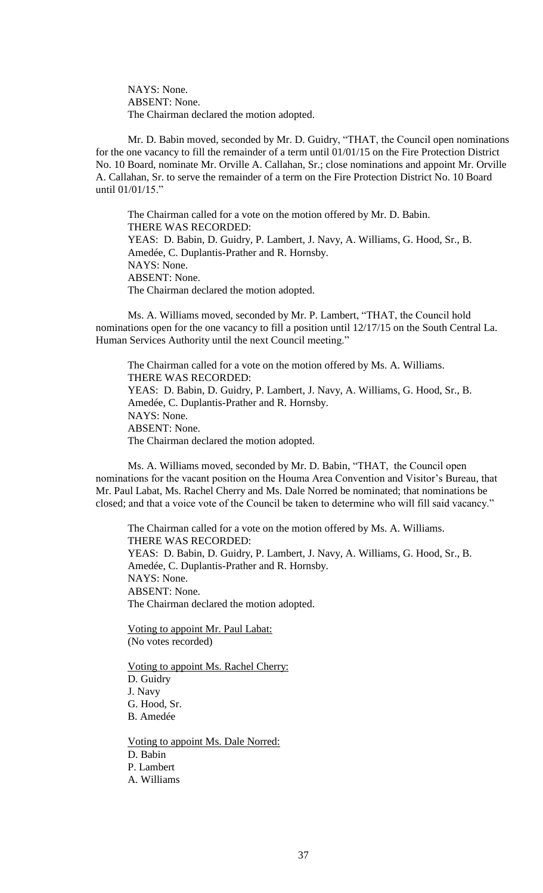NAYS: None. ABSENT: None. The Chairman declared the motion adopted.

Mr. D. Babin moved, seconded by Mr. D. Guidry, "THAT, the Council open nominations for the one vacancy to fill the remainder of a term until 01/01/15 on the Fire Protection District No. 10 Board, nominate Mr. Orville A. Callahan, Sr.; close nominations and appoint Mr. Orville A. Callahan, Sr. to serve the remainder of a term on the Fire Protection District No. 10 Board until 01/01/15."

The Chairman called for a vote on the motion offered by Mr. D. Babin. THERE WAS RECORDED: YEAS: D. Babin, D. Guidry, P. Lambert, J. Navy, A. Williams, G. Hood, Sr., B. Amedée, C. Duplantis-Prather and R. Hornsby. NAYS: None. ABSENT: None. The Chairman declared the motion adopted.

Ms. A. Williams moved, seconded by Mr. P. Lambert, "THAT, the Council hold nominations open for the one vacancy to fill a position until 12/17/15 on the South Central La. Human Services Authority until the next Council meeting."

The Chairman called for a vote on the motion offered by Ms. A. Williams. THERE WAS RECORDED: YEAS: D. Babin, D. Guidry, P. Lambert, J. Navy, A. Williams, G. Hood, Sr., B. Amedée, C. Duplantis-Prather and R. Hornsby. NAYS: None. ABSENT: None. The Chairman declared the motion adopted.

Ms. A. Williams moved, seconded by Mr. D. Babin, "THAT, the Council open nominations for the vacant position on the Houma Area Convention and Visitor's Bureau, that Mr. Paul Labat, Ms. Rachel Cherry and Ms. Dale Norred be nominated; that nominations be closed; and that a voice vote of the Council be taken to determine who will fill said vacancy."

The Chairman called for a vote on the motion offered by Ms. A. Williams. THERE WAS RECORDED: YEAS: D. Babin, D. Guidry, P. Lambert, J. Navy, A. Williams, G. Hood, Sr., B. Amedée, C. Duplantis-Prather and R. Hornsby. NAYS: None. ABSENT: None. The Chairman declared the motion adopted.

Voting to appoint Mr. Paul Labat: (No votes recorded)

Voting to appoint Ms. Rachel Cherry: D. Guidry J. Navy G. Hood, Sr. B. Amedée

Voting to appoint Ms. Dale Norred: D. Babin P. Lambert A. Williams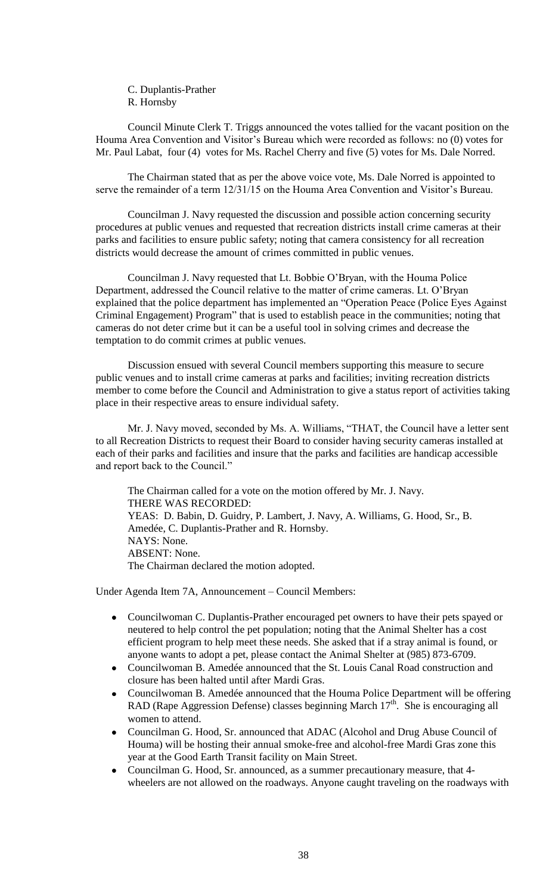C. Duplantis-Prather R. Hornsby

Council Minute Clerk T. Triggs announced the votes tallied for the vacant position on the Houma Area Convention and Visitor's Bureau which were recorded as follows: no (0) votes for Mr. Paul Labat, four (4) votes for Ms. Rachel Cherry and five (5) votes for Ms. Dale Norred.

The Chairman stated that as per the above voice vote, Ms. Dale Norred is appointed to serve the remainder of a term 12/31/15 on the Houma Area Convention and Visitor's Bureau.

Councilman J. Navy requested the discussion and possible action concerning security procedures at public venues and requested that recreation districts install crime cameras at their parks and facilities to ensure public safety; noting that camera consistency for all recreation districts would decrease the amount of crimes committed in public venues.

Councilman J. Navy requested that Lt. Bobbie O'Bryan, with the Houma Police Department, addressed the Council relative to the matter of crime cameras. Lt. O'Bryan explained that the police department has implemented an "Operation Peace (Police Eyes Against Criminal Engagement) Program" that is used to establish peace in the communities; noting that cameras do not deter crime but it can be a useful tool in solving crimes and decrease the temptation to do commit crimes at public venues.

Discussion ensued with several Council members supporting this measure to secure public venues and to install crime cameras at parks and facilities; inviting recreation districts member to come before the Council and Administration to give a status report of activities taking place in their respective areas to ensure individual safety.

Mr. J. Navy moved, seconded by Ms. A. Williams, "THAT, the Council have a letter sent to all Recreation Districts to request their Board to consider having security cameras installed at each of their parks and facilities and insure that the parks and facilities are handicap accessible and report back to the Council."

The Chairman called for a vote on the motion offered by Mr. J. Navy. THERE WAS RECORDED: YEAS: D. Babin, D. Guidry, P. Lambert, J. Navy, A. Williams, G. Hood, Sr., B. Amedée, C. Duplantis-Prather and R. Hornsby. NAYS: None. ABSENT: None. The Chairman declared the motion adopted.

Under Agenda Item 7A, Announcement – Council Members:

- Councilwoman C. Duplantis-Prather encouraged pet owners to have their pets spayed or neutered to help control the pet population; noting that the Animal Shelter has a cost efficient program to help meet these needs. She asked that if a stray animal is found, or anyone wants to adopt a pet, please contact the Animal Shelter at (985) 873-6709.
- Councilwoman B. Amedée announced that the St. Louis Canal Road construction and closure has been halted until after Mardi Gras.
- Councilwoman B. Amedée announced that the Houma Police Department will be offering  $\bullet$ RAD (Rape Aggression Defense) classes beginning March  $17<sup>th</sup>$ . She is encouraging all women to attend.
- Councilman G. Hood, Sr. announced that ADAC (Alcohol and Drug Abuse Council of  $\bullet$ Houma) will be hosting their annual smoke-free and alcohol-free Mardi Gras zone this year at the Good Earth Transit facility on Main Street.
- Councilman G. Hood, Sr. announced, as a summer precautionary measure, that 4 wheelers are not allowed on the roadways. Anyone caught traveling on the roadways with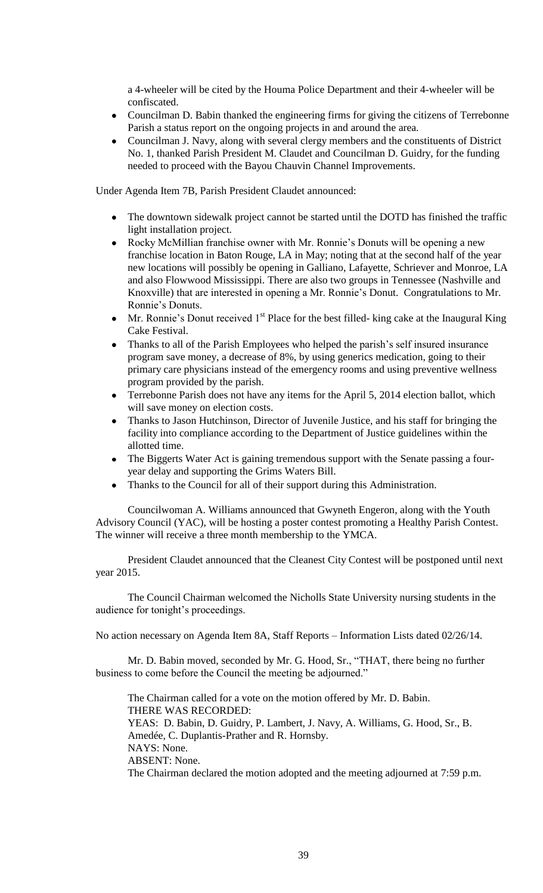a 4-wheeler will be cited by the Houma Police Department and their 4-wheeler will be confiscated.

- Councilman D. Babin thanked the engineering firms for giving the citizens of Terrebonne Parish a status report on the ongoing projects in and around the area.
- Councilman J. Navy, along with several clergy members and the constituents of District No. 1, thanked Parish President M. Claudet and Councilman D. Guidry, for the funding needed to proceed with the Bayou Chauvin Channel Improvements.

Under Agenda Item 7B, Parish President Claudet announced:

- The downtown sidewalk project cannot be started until the DOTD has finished the traffic light installation project.
- Rocky McMillian franchise owner with Mr. Ronnie's Donuts will be opening a new franchise location in Baton Rouge, LA in May; noting that at the second half of the year new locations will possibly be opening in Galliano, Lafayette, Schriever and Monroe, LA and also Flowwood Mississippi. There are also two groups in Tennessee (Nashville and Knoxville) that are interested in opening a Mr. Ronnie's Donut. Congratulations to Mr. Ronnie's Donuts.
- Mr. Ronnie's Donut received  $1<sup>st</sup>$  Place for the best filled- king cake at the Inaugural King Cake Festival.
- Thanks to all of the Parish Employees who helped the parish's self insured insurance program save money, a decrease of 8%, by using generics medication, going to their primary care physicians instead of the emergency rooms and using preventive wellness program provided by the parish.
- Terrebonne Parish does not have any items for the April 5, 2014 election ballot, which will save money on election costs.
- Thanks to Jason Hutchinson, Director of Juvenile Justice, and his staff for bringing the  $\bullet$ facility into compliance according to the Department of Justice guidelines within the allotted time.
- The Biggerts Water Act is gaining tremendous support with the Senate passing a fouryear delay and supporting the Grims Waters Bill.
- Thanks to the Council for all of their support during this Administration.

Councilwoman A. Williams announced that Gwyneth Engeron, along with the Youth Advisory Council (YAC), will be hosting a poster contest promoting a Healthy Parish Contest. The winner will receive a three month membership to the YMCA.

President Claudet announced that the Cleanest City Contest will be postponed until next year 2015.

The Council Chairman welcomed the Nicholls State University nursing students in the audience for tonight's proceedings.

No action necessary on Agenda Item 8A, Staff Reports – Information Lists dated 02/26/14.

Mr. D. Babin moved, seconded by Mr. G. Hood, Sr., "THAT, there being no further business to come before the Council the meeting be adjourned."

The Chairman called for a vote on the motion offered by Mr. D. Babin. THERE WAS RECORDED: YEAS: D. Babin, D. Guidry, P. Lambert, J. Navy, A. Williams, G. Hood, Sr., B. Amedée, C. Duplantis-Prather and R. Hornsby. NAYS: None. ABSENT: None. The Chairman declared the motion adopted and the meeting adjourned at 7:59 p.m.